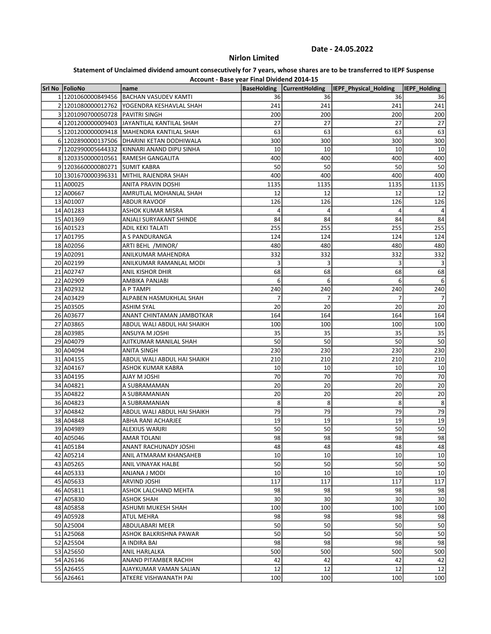# Nirlon Limited

| Account - Base year Final Dividend 2014-15 |                                             |                    |                       |                       |                     |  |
|--------------------------------------------|---------------------------------------------|--------------------|-----------------------|-----------------------|---------------------|--|
| Srl No FolioNo                             | name                                        | <b>BaseHolding</b> | <b>CurrentHolding</b> | IEPF Physical Holding | <b>IEPF Holding</b> |  |
| 1 1201060000849456                         | <b>BACHAN VASUDEV KAMTI</b>                 | 36                 | 36                    | 36                    | 36                  |  |
|                                            | 2 1201080000012762 YOGENDRA KESHAVLAL SHAH  | 241                | 241                   | 241                   | 241                 |  |
| 3 1201090700050728 PAVITRI SINGH           |                                             | 200                | 200                   | 200                   | 200                 |  |
|                                            | 4 1201200000009403 JAYANTILAL KANTILAL SHAH | 27                 | 27                    | 27                    | 27                  |  |
|                                            | 5 1201200000009418 MAHENDRA KANTILAL SHAH   | 63                 | 63                    | 63                    | 63                  |  |
|                                            | 6 1202890000137506 DHARINI KETAN DODHIWALA  | 300                | 300                   | 300                   | 300                 |  |
|                                            | 7 1202990005644332 KINNARI ANAND DIPU SINHA | 10                 | 10                    | 10                    | 10                  |  |
|                                            | 8 1203350000010561 RAMESH GANGALITA         | 400                | 400                   | 400                   | 400                 |  |
| 9 1203660000080271 SUMIT KABRA             |                                             | 50                 | 50                    | 50                    | 50                  |  |
| 10 1301670000396331                        | MITHIL RAJENDRA SHAH                        | 400                | 400                   | 400                   | 400                 |  |
| 11 A00025                                  | <b>ANITA PRAVIN DOSHI</b>                   | 1135               | 1135                  | 1135                  | 1135                |  |
| 12 A00667                                  | AMRUTLAL MOHANLAL SHAH                      | 12                 | 12                    | 12                    | 12                  |  |
| 13 A01007                                  | <b>ABDUR RAVOOF</b>                         | 126                | 126                   | 126                   | 126                 |  |
| 14 A01283                                  | ASHOK KUMAR MISRA                           | 4                  | 4                     | 4                     | 4                   |  |
| 15 A01369                                  | ANJALI SURYAKANT SHINDE                     | 84                 | 84                    | 84                    | 84                  |  |
| 16 A01523                                  | <b>ADIL KEKI TALATI</b>                     | 255                | 255                   | 255                   | 255                 |  |
| 17 A01795                                  | A S PANDURANGA                              | 124                | 124                   | 124                   | 124                 |  |
| 18 A02056                                  | ARTI BEHL /MINOR/                           | 480                | 480                   | 480                   | 480                 |  |
| 19 A02091                                  | ANILKUMAR MAHENDRA                          | 332                | 332                   | 332                   | 332                 |  |
| 20 A02199                                  | ANILKUMAR RAMANLAL MODI                     |                    | 3                     | 3                     | 3                   |  |
| 21 A02747                                  | ANIL KISHOR DHIR                            | 68                 | 68                    | 68                    | 68                  |  |
| 22 A02909                                  | AMBIKA PANJABI                              | 6                  | 6                     | 6                     | 6                   |  |
| 23 A02932                                  | A P TAMPI                                   | 240                | 240                   | 240                   | 240                 |  |
| 24 A03429                                  | ALPABEN HASMUKHLAL SHAH                     | 7                  | 7                     | 7                     | $\overline{7}$      |  |
| 25 A03505                                  | <b>ASHIM SYAL</b>                           | 20                 | 20                    | 20                    | 20                  |  |
| 26 A03677                                  | ANANT CHINTAMAN JAMBOTKAR                   | 164                | 164                   | 164                   | 164                 |  |
| 27 A03865                                  | ABDUL WALI ABDUL HAI SHAIKH                 | 100                | 100                   | 100                   | 100                 |  |
| 28 A03985                                  | ANSUYA M JOSHI                              | 35                 | 35                    | 35                    | 35                  |  |
| 29 A04079                                  | AJITKUMAR MANILAL SHAH                      | 50                 | 50                    | 50                    | 50                  |  |
| 30 A04094                                  | ANITA SINGH                                 | 230                | 230                   | 230                   | 230                 |  |
| 31 A04155                                  | ABDUL WALI ABDUL HAI SHAIKH                 | 210                | 210                   | 210                   | 210                 |  |
| 32 A04167                                  | ASHOK KUMAR KABRA                           | 10                 | 10                    | 10                    | 10                  |  |
| 33 A04195                                  | <b>IH2OL M YALA</b>                         | 70                 | 70                    | 70                    | 70                  |  |
| 34 A04821                                  | A SUBRAMAMAN                                | 20                 | 20                    | 20                    | 20                  |  |
| 35 A04822                                  | A SUBRAMANIAN                               | 20                 | 20                    | 20                    | 20                  |  |
| 36 A04823                                  | A SUBRAMANIAN                               | 8                  | 8                     | 8                     | 8                   |  |
| 37 A04842                                  | ABDUL WALI ABDUL HAI SHAIKH                 | 79                 | 79                    | 79                    | 79                  |  |
| 38 A04848                                  | ABHA RANI ACHARJEE                          | 19                 | 19                    | 19                    | 19                  |  |
| 39 A04989                                  | ALEXIUS WARJRI                              | 50                 | 50                    | 50                    | 50                  |  |
| 40 A05046                                  | AMAR TOLANI                                 |                    | 98                    | 98                    |                     |  |
| 41 A05184                                  | ANANT RACHUNADY JOSHI                       | 98<br>48           | 48                    | 48                    | 98<br>48            |  |
| 42 A05214                                  | ANIL ATMARAM KHANSAHEB                      | 10                 | 10                    | 10                    | 10                  |  |
| 43 A05265                                  |                                             | 50                 | 50                    | 50                    |                     |  |
| 44 A05333                                  | ANIL VINAYAK HALBE<br>IOOM I ANAIJA         | 10                 | 10                    | 10                    | 50<br>10            |  |
|                                            |                                             |                    |                       |                       | 117                 |  |
| 45 A05633                                  | ARVIND JOSHI                                | 117<br>98          | 117<br>98             | 117<br>98             |                     |  |
| 46 A05811                                  | ASHOK LALCHAND MEHTA                        |                    |                       |                       | 98                  |  |
| 47 A05830                                  | ASHOK SHAH                                  | 30                 | 30                    | 30                    | 30                  |  |
| 48 A05858                                  | ASHUMI MUKESH SHAH                          | 100                | 100                   | 100                   | 100                 |  |
| 49 A05928                                  | <b>ATUL MEHRA</b>                           | 98                 | 98                    | 98                    | 98                  |  |
| 50 A25004                                  | ABDULABARI MEER                             | 50                 | 50                    | 50                    | 50                  |  |
| 51 A25068                                  | ASHOK BALKRISHNA PAWAR                      | 50                 | 50                    | 50                    | 50                  |  |
| 52 A25504                                  | A INDIRA BAI                                | 98                 | 98                    | 98                    | 98                  |  |
| 53 A25650                                  | ANIL HARLALKA                               | 500                | 500                   | 500                   | 500                 |  |
| 54 A26146                                  | ANAND PITAMBER RACHH                        | 42                 | 42                    | 42                    | 42                  |  |
| 55 A26455                                  | AJAYKUMAR VAMAN SALIAN                      | 12                 | 12                    | 12                    | 12                  |  |
| 56 A26461                                  | ATKERE VISHWANATH PAI                       | 100                | 100                   | 100                   | 100                 |  |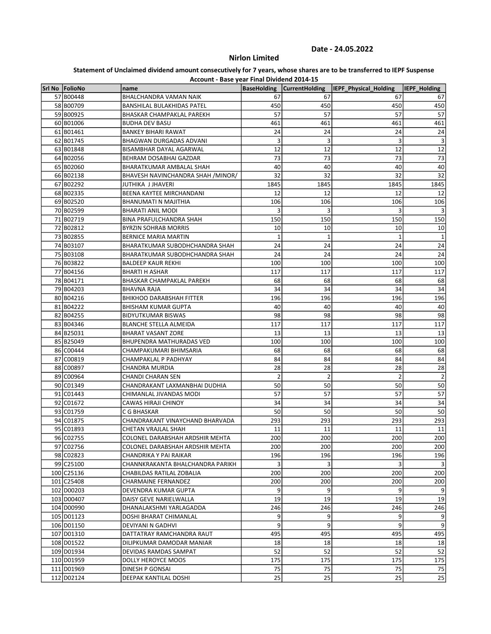# Nirlon Limited

|                 | Account - Base year Final Dividend 2014-15 |                    |                       |                       |                     |
|-----------------|--------------------------------------------|--------------------|-----------------------|-----------------------|---------------------|
| Srl No  FolioNo | name                                       | <b>BaseHolding</b> | <b>CurrentHolding</b> | IEPF Physical Holding | <b>IEPF Holding</b> |
| 57 B00448       | BHALCHANDRA VAMAN NAIK                     | 67                 | 67                    | 67                    | 67                  |
| 58 B00709       | <b>BANSHILAL BULAKHIDAS PATEL</b>          | 450                | 450                   | 450                   | 450                 |
| 59 B00925       | BHASKAR CHAMPAKLAL PAREKH                  | 57                 | 57                    | 57                    | 57                  |
| 60 B01006       | <b>BUDHA DEV BASU</b>                      | 461                | 461                   | 461                   | 461                 |
| 61 B01461       | <b>BANKEY BIHARI RAWAT</b>                 | 24                 | 24                    | 24                    | 24                  |
| 62 B01745       | BHAGWAN DURGADAS ADVANI                    | 3                  | 3                     | 3                     | 3                   |
| 63 B01848       | BISAMBHAR DAYAL AGARWAL                    | 12                 | 12                    | 12                    | 12                  |
| 64 B02056       | BEHRAM DOSABHAI GAZDAR                     | 73                 | 73                    | 73                    | 73                  |
| 65 B02060       | BHARATKUMAR AMBALAL SHAH                   | 40                 | 40                    | 40                    | 40                  |
| 66 B02138       | BHAVESH NAVINCHANDRA SHAH /MINOR/          | 32                 | 32                    | 32                    | 32                  |
| 67 B02292       | JUTHIKA J JHAVERI                          | 1845               | 1845                  | 1845                  | 1845                |
| 68 B02335       | BEENA KAYTEE MIRCHANDANI                   | 12                 | 12                    | 12                    | 12                  |
| 69 B02520       | <b>BHANUMATI N MAJITHIA</b>                | 106                | 106                   | 106                   | 106                 |
| 70 B02599       | <b>BHARATI ANIL MODI</b>                   | 3                  | 3                     | 3                     | $\overline{3}$      |
| 71 B02719       | BINA PRAFULCHANDRA SHAH                    | 150                | 150                   | 150                   | 150                 |
| 72 B02812       | <b>BYRZIN SOHRAB MORRIS</b>                | 10                 | 10                    | 10                    | 10                  |
| 73 B02855       | <b>BERNICE MARIA MARTIN</b>                | 1                  | $\mathbf{1}$          | 1                     | $\mathbf{1}$        |
| 74 B03107       | BHARATKUMAR SUBODHCHANDRA SHAH             | 24                 | 24                    | 24                    | 24                  |
| 75 B03108       | BHARATKUMAR SUBODHCHANDRA SHAH             | 24                 | 24                    | 24                    | 24                  |
| 76 B03822       | <b>BALDEEP KAUR REKHI</b>                  | 100                | 100                   | 100                   | 100                 |
| 77 B04156       | <b>BHARTI H ASHAR</b>                      | 117                | 117                   | 117                   | 117                 |
| 78 B04171       | BHASKAR CHAMPAKLAL PAREKH                  | 68                 | 68                    | 68                    | 68                  |
| 79 B04203       | <b>BHAVNA RAJA</b>                         | 34                 | 34                    | 34                    | 34                  |
| 80 B04216       | <b>BHIKHOO DARABSHAH FITTER</b>            | 196                | 196                   | 196                   | 196                 |
| 81 B04222       | <b>BHISHAM KUMAR GUPTA</b>                 | 40                 | 40                    | 40                    | 40                  |
| 82 B04255       | <b>BIDYUTKUMAR BISWAS</b>                  | 98                 | 98                    | 98                    | 98                  |
| 83 B04346       | <b>BLANCHE STELLA ALMEIDA</b>              | 117                | 117                   | 117                   | 117                 |
| 84 B25031       | <b>BHARAT VASANT ZORE</b>                  | 13                 | 13                    | 13                    | 13                  |
| 85 B25049       | BHUPENDRA MATHURADAS VED                   | 100                | 100                   | 100                   | 100                 |
| 86 C00444       | CHAMPAKUMARI BHIMSARIA                     | 68                 | 68                    | 68                    | 68                  |
| 87 C00819       | CHAMPAKLAL P PADHYAY                       | 84                 | 84                    | 84                    | 84                  |
| 88 C00897       | CHANDRA MURDIA                             | 28                 | 28                    | 28                    | 28                  |
| 89 C00964       | <b>CHANDI CHARAN SEN</b>                   | $\overline{2}$     | $\overline{2}$        | $\overline{2}$        | $\overline{2}$      |
| 90 C01349       | CHANDRAKANT LAXMANBHAI DUDHIA              | 50                 | 50                    | 50                    | 50                  |
| 91 C01443       | CHIMANLAL JIVANDAS MODI                    | 57                 | 57                    | 57                    | 57                  |
| 92 C01672       | CAWAS HIRAJI CHINOY                        | 34                 | 34                    | 34                    | 34                  |
| 93 C01759       | C G BHASKAR                                | 50                 | 50                    | 50                    | 50                  |
| 94 C01875       | CHANDRAKANT VINAYCHAND BHARVADA            | 293                | 293                   | 293                   | 293                 |
| 95 C01893       | CHETAN VRAJLAL SHAH                        | 11                 | 11                    | 11                    | 11                  |
| 96 C02755       | COLONEL DARABSHAH ARDSHIR MEHTA            | 200                | 200                   | 200                   | 200                 |
| 97 C02756       | COLONEL DARABSHAH ARDSHIR MEHTA            | 200                | 200                   | 200                   | 200                 |
| 98 C02823       | CHANDRIKA Y PAI RAIKAR                     | 196                | 196                   | 196                   | 196                 |
| 99 C25100       | CHANNKRAKANTA BHALCHANDRA PARIKH           | 3                  | 3                     | 3                     | $\overline{3}$      |
| 100 C25136      | CHABILDAS RATILAL ZOBALIA                  | 200                | 200                   | 200                   | 200                 |
| 101 C25408      | <b>CHARMAINE FERNANDEZ</b>                 | 200                | 200                   | 200                   | 200                 |
| 102 D00203      | DEVENDRA KUMAR GUPTA                       | 9                  | 9                     | 9                     | 9                   |
| 103 D00407      | DAISY GEVE NARIELWALLA                     | 19                 | 19                    | 19                    | 19                  |
| 104 D00990      | DHANALAKSHMI YARLAGADDA                    | 246                | 246                   | 246                   | 246                 |
| 105 D01123      | DOSHI BHARAT CHIMANLAL                     | 9                  | 9                     | 9                     | 9                   |
| 106 D01150      | DEVIYANI N GADHVI                          | 9                  | 9                     | 9                     | 9                   |
| 107 D01310      | DATTATRAY RAMCHANDRA RAUT                  | 495                | 495                   | 495                   | 495                 |
| 108 D01522      | DILIPKUMAR DAMODAR MANIAR                  | 18                 | 18                    | 18                    | 18                  |
| 109 D01934      | DEVIDAS RAMDAS SAMPAT                      | 52                 | 52                    | 52                    | 52                  |
| 110 D01959      | DOLLY HEROYCE MOOS                         | 175                | 175                   | 175                   | 175                 |
| 111 D01969      | DINESH P GONSAI                            | 75                 | 75                    | 75                    | 75                  |
| 112 D02124      | DEEPAK KANTILAL DOSHI                      | 25                 | 25                    | 25                    | 25                  |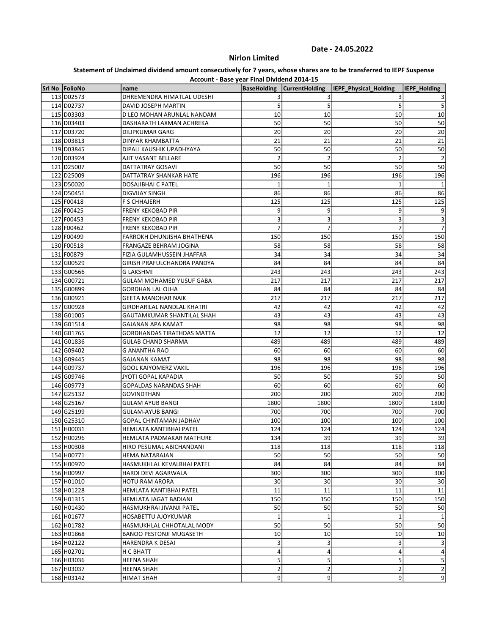# Nirlon Limited

| Account - Base year Final Dividend 2014-15 |                                   |                         |                       |                       |                 |  |
|--------------------------------------------|-----------------------------------|-------------------------|-----------------------|-----------------------|-----------------|--|
| Srl No FolioNo                             | name                              | <b>BaseHolding</b>      | <b>CurrentHolding</b> | IEPF_Physical_Holding | IEPF_Holding    |  |
| 113 D02573                                 | DHREMENDRA HIMATLAL UDESHI        |                         | 3                     | 3                     | 3               |  |
| 114 D02737                                 | DAVID JOSEPH MARTIN               | 5                       | 5                     | 5                     | 5               |  |
| 115 D03303                                 | D LEO MOHAN ARUNLAL NANDAM        | 10                      | 10                    | 10                    | 10              |  |
| 116 D03403                                 | DASHARATH LAXMAN ACHREKA          | 50                      | 50                    | 50                    | 50              |  |
| 117 D03720                                 | <b>DILIPKUMAR GARG</b>            | 20                      | 20                    | 20                    | 20              |  |
| 118 D03813                                 | DINYAR KHAMBATTA                  | 21                      | 21                    | 21                    | 21              |  |
| 119 D03845                                 | DIPALI KAUSHIK UPADHYAYA          | 50                      | 50                    | 50                    | 50              |  |
| 120 D03924                                 | AJIT VASANT BELLARE               | $\overline{2}$          | $\overline{2}$        | $\overline{2}$        | $\overline{2}$  |  |
| 121 D25007                                 | DATTATRAY GOSAVI                  | 50                      | 50                    | 50                    | 50              |  |
| 122 D25009                                 | DATTATRAY SHANKAR HATE            | 196                     | 196                   | 196                   | 196             |  |
| 123 D50020                                 | DOSAJIBHAI C PATEL                | $\mathbf{1}$            | $\mathbf{1}$          | $\mathbf{1}$          | 1               |  |
| 124 D50451                                 | DIGVIJAY SINGH                    | 86                      | 86                    | 86                    | 86              |  |
| 125 F00418                                 | F S CHHAJERH                      | 125                     | 125                   | 125                   | 125             |  |
| 126 F00425                                 | FRENY KEKOBAD PIR                 | 9                       | 9                     | 9                     | 9               |  |
| 127 F00453                                 | <b>FRENY KEKOBAD PIR</b>          | 3                       | 3                     | 3                     | 3               |  |
| 128 F00462                                 | <b>FRENY KEKOBAD PIR</b>          | 7                       | $\overline{7}$        | $\overline{7}$        | $\overline{7}$  |  |
| 129 F00499                                 | FARROKH DHUNJISHA BHATHENA        | 150                     | 150                   | 150                   | 150             |  |
| 130 F00518                                 | FRANGAZE BEHRAM JOGINA            | 58                      | 58                    | 58                    | 58              |  |
| 131 F00879                                 | FIZIA GULAMHUSSEIN JHAFFAR        | 34                      | 34                    | 34                    | 34              |  |
| 132 G00529                                 | GIRISH PRAFULCHANDRA PANDYA       | 84                      | 84                    | 84                    | 84              |  |
| 133 G00566                                 | <b>G LAKSHMI</b>                  | 243                     | 243                   | 243                   | 243             |  |
| 134 G00721                                 | <b>GULAM MOHAMED YUSUF GABA</b>   | 217                     | 217                   | 217                   | 217             |  |
| 135 G00899                                 | <b>GORDHAN LAL OJHA</b>           | 84                      | 84                    | 84                    | 84              |  |
| 136 G00921                                 | <b>GEETA MANOHAR NAIK</b>         | 217                     | 217                   | 217                   | 217             |  |
| 137 G00928                                 | <b>GIRDHARILAL NANDLAL KHATRI</b> | 42                      | 42                    | 42                    | 42              |  |
| 138 G01005                                 | GAUTAMKUMAR SHANTILAL SHAH        | 43                      | 43                    | 43                    | 43              |  |
| 139 G01514                                 | GAJANAN APA KAMAT                 | 98                      | 98                    | 98                    | 98              |  |
| 140 G01765                                 | GORDHANDAS TIRATHDAS MATTA        | 12                      | 12                    | 12                    | 12              |  |
| 141 G01836                                 | GULAB CHAND SHARMA                | 489                     | 489                   | 489                   | 489             |  |
| 142 G09402                                 | <b>G ANANTHA RAO</b>              | 60                      | 60                    | 60                    | 60              |  |
| 143 G09445                                 | GAJANAN KAMAT                     | 98                      | 98                    | 98                    | 98              |  |
| 144 G09737                                 | <b>GOOL KAIYOMERZ VAKIL</b>       | 196                     | 196                   | 196                   | 196             |  |
| 145 G09746                                 | <b>JYOTI GOPAL KAPADIA</b>        | 50                      | 50                    | 50                    | 50              |  |
| 146 G09773                                 | GOPALDAS NARANDAS SHAH            | 60                      | 60                    | 60                    | 60              |  |
| 147 G25132                                 | GOVINDTHAN                        | 200                     | 200                   | 200                   | 200             |  |
| 148 G25167                                 | GULAM AYUB BANGI                  | 1800                    | 1800                  | 1800                  | 1800            |  |
| 149 G25199                                 | <b>GULAM-AYUB BANGI</b>           | 700                     | 700                   | 700                   | 700             |  |
| 150 G25310                                 | GOPAL CHINTAMAN JADHAV            | 100                     | 100                   | 100                   | 100             |  |
| 151 H00031                                 | HEMLATA KANTIBHAI PATEL           | 124                     | 124                   | 124                   | 124             |  |
| 152 H00296                                 | HEMLATA PADMAKAR MATHURE          | 134                     | 39                    | 39                    | 39              |  |
| 153 H00308                                 | HIRO PESUMAL ABICHANDANI          | 118                     | 118                   | 118                   | 118             |  |
| 154 H00771                                 | HEMA NATARAJAN                    | 50                      | 50                    | 50                    | 50              |  |
| 155 H00970                                 | HASMUKHLAL KEVALBHAI PATEL        | 84                      | 84                    | 84                    | 84              |  |
| 156 H00997                                 | HARDI DEVI AGARWALA               | 300                     | 300                   | 300                   | 300             |  |
| 157 H01010                                 | HOTU RAM ARORA                    | 30                      | 30                    | 30                    | 30              |  |
| 158 H01228                                 | HEMLATA KANTIBHAI PATEL           | 11                      | 11                    | 11                    | 11              |  |
| 159 H01315                                 | HEMLATA JAGAT BADIANI             | 150                     | 150                   | 150                   | 150             |  |
| 160 H01430                                 | HASMUKHRAI JIVANJI PATEL          | 50                      | 50                    | 50                    | 50              |  |
| 161 H01677                                 | HOSABETTU AJOYKUMAR               | 1                       | 1                     | 1                     | 1               |  |
| 162 H01782                                 | HASMUKHLAL CHHOTALAL MODY         | 50                      | 50                    | 50                    | 50              |  |
| 163 H01868                                 | <b>BANOO PESTONJI MUGASETH</b>    | 10                      | 10                    | 10                    | 10 <sup>1</sup> |  |
| 164 H02122                                 | HARENDRA K DESAI                  | 3                       | 3                     | 3                     | $\mathbf{3}$    |  |
| 165 H02701                                 | H C BHATT                         | 4                       | 4                     | $\overline{4}$        | $\vert 4 \vert$ |  |
| 166 H03036                                 | HEENA SHAH                        | 5                       | 5                     | 5                     | $\mathsf{5}$    |  |
| 167 H03037                                 | HEENA SHAH                        | $\overline{\mathbf{c}}$ | $\overline{2}$        | $\mathbf 2$           | $\mathbf{2}$    |  |
| 168 H03142                                 | HIMAT SHAH                        | 9                       | 9                     | 9                     | 9               |  |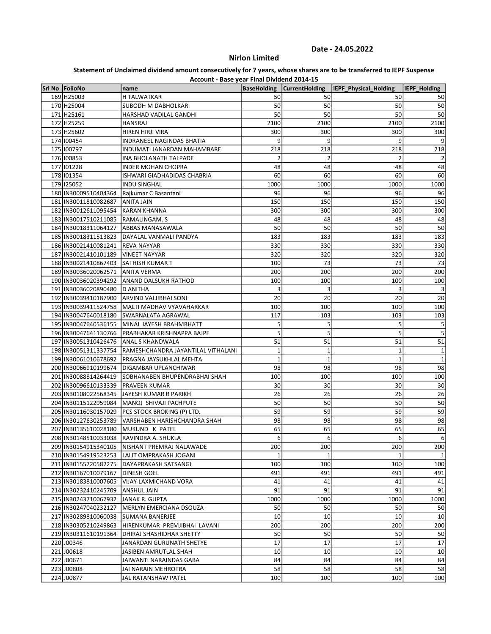# Nirlon Limited

| Account - Base year Final Dividend 2014-15 |                                                      |                       |                       |                       |                       |  |
|--------------------------------------------|------------------------------------------------------|-----------------------|-----------------------|-----------------------|-----------------------|--|
| Srl No FolioNo                             | name                                                 | <b>BaseHolding</b>    | <b>CurrentHolding</b> | IEPF_Physical_Holding | IEPF_Holding          |  |
| 169 H25003                                 | H TALWATKAR                                          | 50                    | 50                    | 50                    | 50                    |  |
| 170 H25004                                 | SUBODH M DABHOLKAR                                   | 50                    | 50                    | 50                    | 50                    |  |
| 171 H25161                                 | HARSHAD VADILAL GANDHI                               | 50                    | 50                    | 50                    | 50                    |  |
| 172 H25259                                 | <b>HANSRAJ</b>                                       | 2100                  | 2100                  | 2100                  | 2100                  |  |
| 173 H25602                                 | HIREN HIRJI VIRA                                     | 300                   | 300                   | 300                   | 300                   |  |
| 174 100454                                 | <b>INDRANEEL NAGINDAS BHATIA</b>                     | 9                     | 9                     | 9                     | 9                     |  |
| 175 100797<br>176 100853                   | INDUMATI JANARDAN MAHAMBARE<br>INA BHOLANATH TALPADE | 218<br>$\overline{2}$ | 218<br>$\overline{2}$ | 218<br>$\overline{2}$ | 218<br>$\overline{2}$ |  |
| 177 101228                                 | <b>INDER MOHAN CHOPRA</b>                            | 48                    | 48                    | 48                    | 48                    |  |
| 178 101354                                 | ISHWARI GIADHADIDAS CHABRIA                          | 60                    | 60                    | 60                    | 60                    |  |
| 179 125052                                 | <b>INDU SINGHAL</b>                                  | 1000                  | 1000                  | 1000                  | 1000                  |  |
| 180 IN30009510404364                       | Raikumar C Basantani                                 | 96                    | 96                    | 96                    | 96                    |  |
| 181 IN30011810082687                       | ANITA JAIN                                           | 150                   | 150                   | 150                   | 150                   |  |
| 182 IN30012611095454                       | <b>KARAN KHANNA</b>                                  | 300                   | 300                   | 300                   | 300                   |  |
| 183 IN30017510211085                       | RAMALINGAM. S                                        | 48                    | 48                    | 48                    | 48                    |  |
| 184 IN30018311064127                       | ABBAS MANASAWALA                                     | 50                    | 50                    | 50                    | 50                    |  |
| 185   IN30018311513823                     | DAYALAL VANMALI PANDYA                               | 183                   | 183                   | 183                   | 183                   |  |
| 186 IN30021410081241                       | <b>REVA NAYYAR</b>                                   | 330                   | 330                   | 330                   | 330                   |  |
| 187 IN30021410101189                       | <b>VINEET NAYYAR</b>                                 | 320                   | 320                   | 320                   | 320                   |  |
| 188 IN30021410867403                       | SATHISH KUMAR T                                      | 100                   | 73                    | 73                    | 73                    |  |
| 189 IN30036020062571                       | <b>ANITA VERMA</b>                                   | 200                   | 200                   | 200                   | 200                   |  |
| 190 IN30036020394292                       | ANAND DALSUKH RATHOD                                 | 100                   | 100                   | 100                   | 100                   |  |
| 191 IN30036020890480                       | <b>D ANITHA</b>                                      | 3                     | 3                     | 3                     | 3                     |  |
| 192 IN30039410187900                       | ARVIND VALJIBHAI SONI                                | 20                    | 20                    | 20                    | 20                    |  |
| 193 IN30039411524758                       | MALTI MADHAV VYAVAHARKAR                             | 100                   | 100                   | 100                   | 100                   |  |
| 194 IN30047640018180                       | SWARNALATA AGRAWAL                                   | 117                   | 103                   | 103                   | 103                   |  |
| 195 IN30047640536155                       | MINAL JAYESH BRAHMBHATT                              | 5                     | 5                     | 5                     | 5                     |  |
| 196 IN30047641130766                       | PRABHAKAR KRISHNAPPA BAJPE                           | 5                     | 5                     | 5                     | 5                     |  |
| 197 IN30051310426476                       | ANAL S KHANDWALA                                     | 51                    | 51                    | 51                    | 51                    |  |
| 198 IN30051311337754                       | RAMESHCHANDRA JAYANTILAL VITHALANI                   | $\mathbf{1}$          | $\mathbf{1}$          | $\mathbf{1}$          | $\mathbf 1$           |  |
| 199 IN30061010678692                       | PRAGNA JAYSUKHLAL MEHTA                              | 1                     | $\mathbf{1}$          | $\mathbf{1}$          | $\mathbf 1$           |  |
| 200 IN30066910199674                       | DIGAMBAR UPLANCHIWAR                                 | 98                    | 98                    | 98                    | 98                    |  |
| 201 IN30088814264419                       | SOBHANABEN BHUPENDRABHAI SHAH                        | 100                   | 100                   | 100                   | 100                   |  |
| 202 IN30096610133339                       | PRAVEEN KUMAR                                        | 30                    | 30                    | 30                    | 30                    |  |
| 203 IN30108022568345                       | JAYESH KUMAR R PARIKH                                | 26                    | 26                    | 26                    | 26                    |  |
| 204 IN30115122959084                       | MANOJ SHIVAJI PACHPUTE                               | 50                    | 50                    | 50                    | 50                    |  |
| 205 IN30116030157029                       | PCS STOCK BROKING (P) LTD.                           | 59                    | 59                    | 59                    | 59                    |  |
| 206 IN30127630253789                       | VARSHABEN HARISHCHANDRA SHAH                         | 98                    | 98                    | 98                    | 98                    |  |
| 207 IN30135610028180                       | MUKUND K PATEL                                       | 65                    | 65                    | 65                    | 65                    |  |
| 208 IN30148510033038                       | RAVINDRA A. SHUKLA                                   | 6                     | 6                     | 6                     | $6 \mid$              |  |
| 209 IN30154915340105                       | NISHANT PREMRAJ NALAWADE                             | 200                   | 200                   | 200                   | 200                   |  |
| 210 IN30154919523253                       | LALIT OMPRAKASH JOGANI                               | 1                     | 1                     | 1                     | 1                     |  |
| 211 IN30155720582275                       | DAYAPRAKASH SATSANGI                                 | 100                   | 100                   | 100                   | 100                   |  |
| 212 IN30167010079167                       | DINESH GOEL                                          | 491                   | 491                   | 491                   | 491                   |  |
| 213 IN30183810007605                       | VIJAY LAXMICHAND VORA                                | 41                    | 41                    | 41                    | 41                    |  |
| 214 IN30232410245709                       | ANSHUL JAIN                                          | 91                    | 91                    | 91                    | 91                    |  |
| 215 IN30243710067932                       | JANAK R. GUPTA                                       | 1000                  | 1000                  | 1000                  | 1000                  |  |
| 216 IN30247040232127                       | MERLYN EMERCIANA DSOUZA                              | 50                    | 50                    | 50                    | 50                    |  |
| 217 IN30289810060038                       | SUMANA BANERJEE                                      | 10                    | 10                    | 10                    | 10 <sup>1</sup>       |  |
| 218 IN30305210249863                       | HIRENKUMAR PREMJIBHAI LAVANI                         | 200                   | 200                   | 200                   | 200                   |  |
| 219 IN30311610191364                       | DHIRAJ SHASHIDHAR SHETTY                             | 50                    | 50                    | 50                    | 50                    |  |
| 220 J00346                                 | JANARDAN GURUNATH SHETYE                             | 17                    | 17                    | 17                    | 17                    |  |
| 221 J00618                                 | JASIBEN AMRUTLAL SHAH                                | 10                    | 10                    | 10                    | 10                    |  |
| 222 J00671                                 | JAIWANTI NARAINDAS GABA                              | 84                    | 84                    | 84                    | 84                    |  |
| 223 J00808                                 | JAI NARAIN MEHROTRA                                  | 58                    | 58                    | 58                    | 58                    |  |
| 224 J00877                                 | JAL RATANSHAW PATEL                                  | 100                   | 100                   | 100                   | 100                   |  |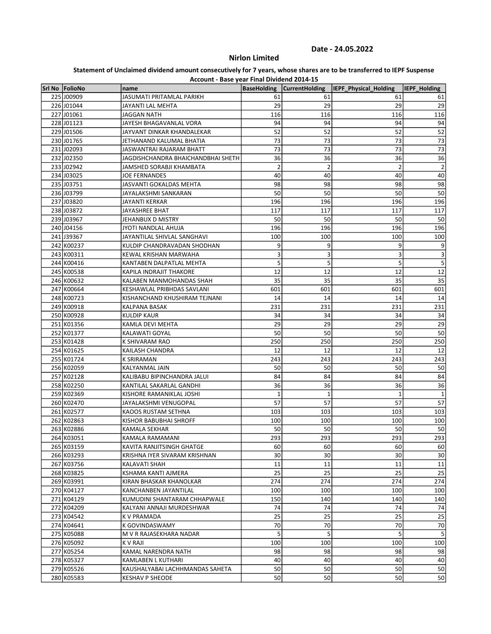# Nirlon Limited

| Account - Base year Final Dividend 2014-15 |                                    |                    |                         |                       |              |  |  |
|--------------------------------------------|------------------------------------|--------------------|-------------------------|-----------------------|--------------|--|--|
| Srl No FolioNo                             | name                               | <b>BaseHolding</b> | <b>CurrentHolding</b>   | IEPF_Physical_Holding | IEPF_Holding |  |  |
| 225 J00909                                 | <b>JASUMATI PRITAMLAL PARIKH</b>   | 61                 | 61                      | 61                    | 61           |  |  |
| 226 J01044                                 | JAYANTI LAL MEHTA                  | 29                 | 29                      | 29                    | 29           |  |  |
| 227 J01061                                 | <b>JAGGAN NATH</b>                 | 116                | 116                     | 116                   | 116          |  |  |
| 228 J01123                                 | JAYESH BHAGAVANLAL VORA            | 94                 | 94                      | 94                    | 94           |  |  |
| 229 J01506                                 | JAYVANT DINKAR KHANDALEKAR         | 52                 | 52                      | 52                    | 52           |  |  |
| 230 J01765                                 | JETHANAND KALUMAL BHATIA           | 73                 | 73                      | 73                    | 73           |  |  |
| 231 J02093                                 | JASWANTRAI RAJARAM BHATT           | 73                 | 73                      | 73                    | 73           |  |  |
| 232 J02350                                 | JAGDISHCHANDRA BHAICHANDBHAI SHETH | 36                 | 36                      | 36                    | 36           |  |  |
| 233 J02942                                 | JAMSHED SORABJI KHAMBATA           | $\overline{2}$     | $\overline{\mathbf{c}}$ | $\overline{2}$        | 2            |  |  |
| 234 J03025                                 | <b>JOE FERNANDES</b>               | 40                 | 40                      | 40                    | 40           |  |  |
| 235 J03751                                 | JASVANTI GOKALDAS MEHTA            | 98                 | 98                      | 98                    | 98           |  |  |
| 236 J03799                                 | JAYALAKSHMI SANKARAN               | 50                 | 50                      | 50                    | 50           |  |  |
| 237 J03820                                 | JAYANTI KERKAR                     | 196                | 196                     | 196                   | 196          |  |  |
| 238 J03872                                 | JAYASHREE BHAT                     | 117                | 117                     | 117                   | 117          |  |  |
| 239 J03967                                 | JEHANBUX D MISTRY                  | 50                 | 50                      | 50                    | 50           |  |  |
| 240 J04156                                 | JYOTI NANDLAL AHUJA                | 196                | 196                     | 196                   | 196          |  |  |
| 241 J39367                                 | JAYANTILAL SHIVLAL SANGHAVI        | 100                | 100                     | 100                   | 100          |  |  |
| 242 K00237                                 | KULDIP CHANDRAVADAN SHODHAN        | 9                  | 9                       | 9                     | 9            |  |  |
| 243 K00311                                 | <b>KEWAL KRISHAN MARWAHA</b>       | 3                  | 3                       | 3                     | 3            |  |  |
| 244 K00416                                 | KANTABEN DALPATLAL MEHTA           | 5                  | 5                       | 5                     | 5            |  |  |
| 245 K00538                                 | KAPILA INDRAJIT THAKORE            | 12                 | 12                      | 12                    | 12           |  |  |
| 246 K00632                                 | KALABEN MANMOHANDAS SHAH           | 35                 | 35                      | 35                    | 35           |  |  |
| 247 K00664                                 | KESHAWLAL PRIBHDAS SAVLANI         | 601                | 601                     | 601                   | 601          |  |  |
| 248 K00723                                 | KISHANCHAND KHUSHIRAM TEJNANI      | 14                 | 14                      | 14                    | 14           |  |  |
| 249 K00918                                 | KALPANA BASAK                      | 231                | 231                     | 231                   | 231          |  |  |
| 250 K00928                                 | <b>KULDIP KAUR</b>                 | 34                 | 34                      | 34                    | 34           |  |  |
| 251 K01356                                 | KAMLA DEVI MEHTA                   | 29                 | 29                      | 29                    | 29           |  |  |
| 252 K01377                                 | KALAWATI GOYAL                     | 50                 | 50                      | 50                    | 50           |  |  |
| 253 K01428                                 | K SHIVARAM RAO                     | 250                | 250                     | 250                   | 250          |  |  |
| 254 K01625                                 | KAILASH CHANDRA                    | 12                 | 12                      | 12                    | 12           |  |  |
| 255 K01724                                 | K SRIRAMAN                         | 243                | 243                     | 243                   | 243          |  |  |
| 256 K02059                                 | KALYANMAL JAIN                     | 50                 | 50                      | 50                    | 50           |  |  |
| 257 K02128                                 | KALIBABU BIPINCHANDRA JALUI        | 84                 | 84                      | 84                    | 84           |  |  |
| 258 K02250                                 | KANTILAL SAKARLAL GANDHI           | 36                 | 36                      | 36                    | 36           |  |  |
| 259 K02369                                 | KISHORE RAMANIKLAL JOSHI           | 1                  | $\mathbf{1}$            | $\mathbf{1}$          | 1            |  |  |
| 260 K02470                                 | JAYALAKSHMI VENUGOPAL              | 57                 | 57                      | 57                    | 57           |  |  |
| 261 K02577                                 | KAOOS RUSTAM SETHNA                | 103                | 103                     | 103                   | 103          |  |  |
| 262 K02863                                 | KISHOR BABUBHAI SHROFF             | 100                | 100                     | 100                   | 100          |  |  |
| 263 K02886                                 | KAMALA SEKHAR                      | 50                 | 50                      | 50                    | 50           |  |  |
| 264 K03051                                 | KAMALA RAMAMANI                    | 293                | 293                     | 293                   | 293          |  |  |
| 265 K03159                                 | KAVITA RANJITSINGH GHATGE          | 60                 | 60                      | 60                    | 60           |  |  |
| 266 K03293                                 | KRISHNA IYER SIVARAM KRISHNAN      | 30                 | 30                      | 30                    | 30           |  |  |
| 267 K03756                                 | KALAVATI SHAH                      | 11                 | 11                      | 11                    | 11           |  |  |
| 268 K03825                                 | KSHAMA KANTI AJMERA                | 25                 | 25                      | 25                    | 25           |  |  |
| 269 K03991                                 | KIRAN BHASKAR KHANOLKAR            | 274                | 274                     | 274                   | 274          |  |  |
| 270 K04127                                 | KANCHANBEN JAYANTILAL              | 100                | 100                     | 100                   | 100          |  |  |
| 271 K04129                                 | KUMUDINI SHANTARAM CHHAPWALE       | 150                | 140                     | 140                   | 140          |  |  |
| 272 K04209                                 | KALYANI ANNAJI MURDESHWAR          | 74                 | 74                      | 74                    | 74           |  |  |
| 273 K04542                                 | K V PRAMADA                        | 25                 | 25                      | 25                    | 25           |  |  |
| 274 K04641                                 | K GOVINDASWAMY                     | 70                 | 70                      | 70                    | 70           |  |  |
| 275 K05088                                 | M V R RAJASEKHARA NADAR            | 5                  | 5                       | 5                     | 5            |  |  |
| 276 K05092                                 | K V RAJI                           | 100                | 100                     | 100                   | 100          |  |  |
| 277 K05254                                 | KAMAL NARENDRA NATH                | 98                 | 98                      | 98                    | 98           |  |  |
| 278 K05327                                 | KAMLABEN L KUTHARI                 | 40                 | 40                      | 40                    | 40           |  |  |
|                                            |                                    | 50                 | 50                      | 50                    | 50           |  |  |
| 279 K05526                                 | KAUSHALYABAI LACHHMANDAS SAHETA    |                    |                         |                       |              |  |  |
| 280 K05583                                 | <b>KESHAV P SHEODE</b>             | 50                 | 50                      | 50                    | 50           |  |  |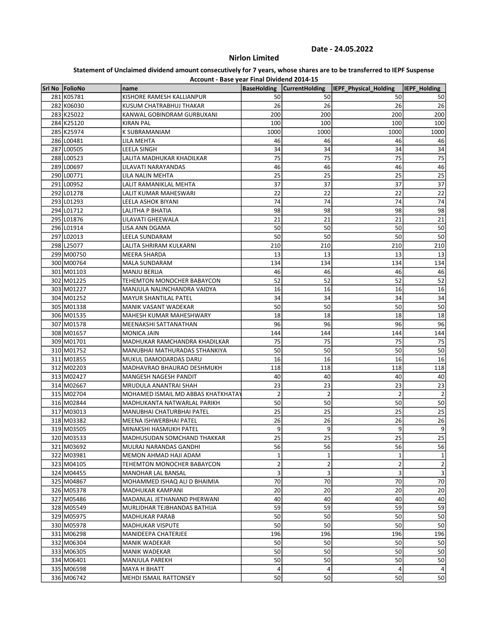# Nirlon Limited

| Account - Base year Final Dividend 2014-15 |                                    |                    |                         |                       |                         |
|--------------------------------------------|------------------------------------|--------------------|-------------------------|-----------------------|-------------------------|
| Srl No FolioNo                             | name                               | <b>BaseHolding</b> | <b>CurrentHolding</b>   | IEPF_Physical_Holding | IEPF Holding            |
| 281 K05781                                 | KISHORE RAMESH KALLIANPUR          | 50                 | 50                      | 50                    | 50                      |
| 282 K06030                                 | KUSUM CHATRABHUJ THAKAR            | 26                 | 26                      | 26                    | 26                      |
| 283 K25022                                 | KANWAL GOBINDRAM GURBUXANI         | 200                | 200                     | 200                   | 200                     |
| 284 K25120                                 | <b>KIRAN PAL</b>                   | 100                | 100                     | 100                   | 100                     |
| 285 K25974                                 | K SUBRAMANIAM                      | 1000               | 1000                    | 1000                  | 1000                    |
| 286 L00481                                 | LILA MEHTA                         | 46                 | 46                      | 46                    | 46                      |
| 287 L00505                                 | LEELA SINGH                        | 34                 | 34                      | 34                    | 34                      |
| 288 L00523                                 | LALITA MADHUKAR KHADILKAR          | 75                 | 75                      | 75                    | 75                      |
| 289 L00697                                 | LILAVATI NARAYANDAS                | 46                 | 46                      | 46                    | 46                      |
| 290 L00771                                 | LILA NALIN MEHTA                   | 25                 | 25                      | 25                    | 25                      |
| 291 L00952                                 | LALIT RAMANIKLAL MEHTA             | 37                 | 37                      | 37                    | 37                      |
| 292 L01278                                 | LALIT KUMAR MAHESWARI              | 22                 | 22                      | 22                    | 22                      |
| 293 L01293                                 | LEELA ASHOK BIYANI                 | 74                 | 74                      | 74                    | 74                      |
| 294 L01712                                 | LALITHA P BHATIA                   | 98                 | 98                      | 98                    | 98                      |
| 295 L01876                                 | LILAVATI GHEEWALA                  | 21                 | 21                      | 21                    | 21                      |
| 296 L01914                                 | LISA ANN DGAMA                     | 50                 | 50                      | 50                    | 50                      |
| 297 L02013                                 | LEELA SUNDARAM                     | 50                 | 50                      | 50                    | 50                      |
| 298 L25077                                 | LALITA SHRIRAM KULKARNI            | 210                | 210                     | 210                   | 210                     |
| 299 M00750                                 | <b>MEERA SHARDA</b>                | 13                 | 13                      | 13                    | 13                      |
| 300 M00764                                 | <b>MALA SUNDARAM</b>               | 134                | 134                     | 134                   | 134                     |
| 301 M01103                                 | <b>MANJU BERLIA</b>                | 46                 | 46                      | 46                    | 46                      |
| 302 M01225                                 | TEHEMTON MONOCHER BABAYCON         | 52                 | 52                      | 52                    | 52                      |
| 303 M01227                                 | MANJULA NALINCHANDRA VAIDYA        | 16                 | 16                      | 16                    | 16                      |
| 304 M01252                                 | <b>MAYUR SHANTILAL PATEL</b>       | 34                 | 34                      | 34                    | 34                      |
| 305 M01338                                 | MANIK VASANT WADEKAR               | 50                 | 50                      | 50                    | 50                      |
| 306 M01535                                 | MAHESH KUMAR MAHESHWARY            | 18                 | 18                      | 18                    | 18                      |
| 307 M01578                                 | MEENAKSHI SATTANATHAN              | 96                 | 96                      | 96                    | 96                      |
| 308 M01657                                 | <b>MONICA JAIN</b>                 | 144                | 144                     | 144                   | 144                     |
| 309 M01701                                 | MADHUKAR RAMCHANDRA KHADILKAR      | 75                 | 75                      | 75                    | 75                      |
| 310 M01752                                 | MANUBHAI MATHURADAS STHANKIYA      | 50                 | 50                      | 50                    | 50                      |
| 311 M01855                                 | MUKUL DAMODARDAS DARU              | 16                 | 16                      | 16                    | 16                      |
| 312 M02203                                 | MADHAVRAO BHAURAO DESHMUKH         | 118                | 118                     | 118                   | 118                     |
| 313 M02427                                 | MANGESH NAGESH PANDIT              | 40                 | 40                      | 40                    | 40                      |
| 314 M02667                                 | MRUDULA ANANTRAI SHAH              | 23                 | 23                      | 23                    | 23                      |
| 315 M02704                                 | MOHAMED ISMAIL MD ABBAS KHATKHATAY | $\overline{2}$     | $\overline{\mathbf{c}}$ | $\overline{2}$        | $\overline{2}$          |
| 316 M02844                                 | MADHUKANTA NATWARLAL PARIKH        | 50                 | 50                      | 50                    | 50                      |
| 317 M03013                                 | MANUBHAI CHATURBHAI PATEL          | 25                 | 25                      | 25                    | 25                      |
| 318 M03382                                 | MEENA ISHWERBHAI PATEL             | 26                 | 26                      | 26                    | 26                      |
| 319 M03505                                 | MINAKSHI HASMUKH PATEL             | 9                  | 9                       | 9                     | 9                       |
| 320 M03533                                 | MADHUSUDAN SOMCHAND THAKKAR        | 25                 | 25                      | 25                    | 25                      |
| 321 M03692                                 | MULRAJ NARANDAS GANDHI             | 56                 | 56                      | 56                    | 56                      |
| 322 M03981                                 | MEMON AHMAD HAJI ADAM              | $\mathbf{1}$       | 1                       | $\mathbf{1}$          | $1\vert$                |
| 323 M04105                                 | TEHEMTON MONOCHER BABAYCON         | $\mathbf 2$        | $\overline{\mathbf{c}}$ | $\overline{2}$        | $\mathbf{2}$            |
|                                            | MANOHAR LAL BANSAL                 | 3                  | 3                       | $\overline{3}$        | $\overline{\mathbf{3}}$ |
| 324 M04455<br>325 M04867                   |                                    | 70                 | 70                      | 70                    | 70                      |
|                                            | MOHAMMED ISHAQ ALI D BHAIMIA       |                    |                         |                       |                         |
| 326 M05378                                 | MADHUKAR KAMPANI                   | 20                 | 20                      | 20                    | 20                      |
| 327 M05486                                 | MADANLAL JETHANAND PHERWANI        | 40                 | 40                      | 40                    | 40                      |
| 328 M05549                                 | MURLIDHAR TEJBHANDAS BATHIJA       | 59                 | 59                      | 59                    | 59                      |
| 329 M05975                                 | <b>MADHUKAR PARAB</b>              | 50                 | 50                      | 50                    | 50                      |
| 330 M05978                                 | MADHUKAR VISPUTE                   | 50                 | 50                      | 50                    | 50                      |
| 331 M06298                                 | MANIDEEPA CHATERJEE                | 196                | 196                     | 196                   | 196                     |
| 332 M06304                                 | <b>MANIK WADEKAR</b>               | 50                 | 50                      | 50                    | 50                      |
| 333 M06305                                 | <b>MANIK WADEKAR</b>               | 50                 | 50                      | 50                    | 50                      |
| 334 M06401                                 | MANJULA PAREKH                     | 50                 | 50                      | 50                    | 50                      |
| 335 M06598                                 | MAYA H BHATT                       | $\overline{a}$     | 4                       | $\overline{4}$        | $\vert 4 \vert$         |
| 336 M06742                                 | MEHDI ISMAIL RATTONSEY             | 50                 | 50                      | 50                    | 50                      |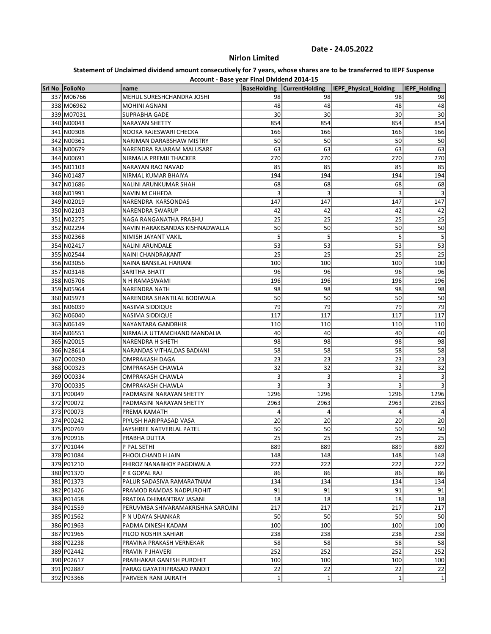# Nirlon Limited

| Account - Base year Final Dividend 2014-15 |                                    |                    |                       |                       |                     |
|--------------------------------------------|------------------------------------|--------------------|-----------------------|-----------------------|---------------------|
| Srl No FolioNo                             | name                               | <b>BaseHolding</b> | <b>CurrentHolding</b> | IEPF_Physical_Holding | <b>IEPF Holding</b> |
| 337 M06766                                 | MEHUL SURESHCHANDRA JOSHI          | 98                 | 98                    | 98                    | 98                  |
| 338 M06962                                 | <b>MOHINI AGNANI</b>               | 48                 | 48                    | 48                    | 48                  |
| 339 M07031                                 | SUPRABHA GADE                      | 30                 | 30                    | 30                    | 30                  |
| 340 N00043                                 | <b>NARAYAN SHETTY</b>              | 854                | 854                   | 854                   | 854                 |
| 341 N00308                                 | NOOKA RAJESWARI CHECKA             | 166                | 166                   | 166                   | 166                 |
| 342 N00361                                 | NARIMAN DARABSHAW MISTRY           | 50                 | 50                    | 50                    | 50                  |
| 343 N00679                                 | NARENDRA RAJARAM MALUSARE          | 63                 | 63                    | 63                    | 63                  |
| 344 N00691                                 | NIRMALA PREMJI THACKER             | 270                | 270                   | 270                   | 270                 |
| 345 N01103                                 | NARAYAN RAO NAVAD                  | 85                 | 85                    | 85                    | 85                  |
| 346 N01487                                 | NIRMAL KUMAR BHAIYA                | 194                | 194                   | 194                   | 194                 |
| 347 N01686                                 | NALINI ARUNKUMAR SHAH              | 68                 | 68                    | 68                    | 68                  |
| 348 N01991                                 | NAVIN M CHHEDA                     | 3                  | 3                     | 3                     | 3                   |
| 349 N02019                                 | NARENDRA KARSONDAS                 | 147                | 147                   | 147                   | 147                 |
| 350 N02103                                 | NARENDRA SWARUP                    | 42                 | 42                    | 42                    | 42                  |
| 351 N02275                                 | NAGA RANGANATHA PRABHU             | 25                 | 25                    | 25                    | 25                  |
| 352 N02294                                 | NAVIN HARAKISANDAS KISHNADWALLA    | 50                 | 50                    | 50                    | 50                  |
| 353 N02368                                 | NIMISH JAYANT VAKIL                | 5                  | 5                     | 5                     | 5                   |
| 354 N02417                                 | <b>NALINI ARUNDALE</b>             | 53                 | 53                    | 53                    | 53                  |
| 355 N02544                                 | NAINI CHANDRAKANT                  | 25                 | 25                    | 25                    | 25                  |
| 356 N03056                                 | NAINA BANSILAL HARIANI             | 100                | 100                   | 100                   | 100                 |
| 357 N03148                                 | SARITHA BHATT                      | 96                 | 96                    | 96                    | 96                  |
| 358 N05706                                 | N H RAMASWAMI                      | 196                | 196                   | 196                   | 196                 |
| 359 N05964                                 | <b>NARENDRA NATH</b>               | 98                 | 98                    | 98                    | 98                  |
| 360 N05973                                 | NARENDRA SHANTILAL BODIWALA        | 50                 | 50                    | 50                    | 50                  |
| 361 N06039                                 | NASIMA SIDDIQUE                    | 79                 | 79                    | 79                    | 79                  |
| 362 N06040                                 | NASIMA SIDDIQUE                    | 117                | 117                   | 117                   | 117                 |
| 363 N06149                                 | NAYANTARA GANDBHIR                 | 110                | 110                   | 110                   | 110                 |
| 364 N06551                                 | NIRMALA UTTAMCHAND MANDALIA        | 40                 | 40                    | 40                    | 40                  |
| 365 N20015                                 | NARENDRA H SHETH                   | 98                 | 98                    | 98                    | 98                  |
| 366 N28614                                 | NARANDAS VITHALDAS BADIANI         | 58                 | 58                    | 58                    | 58                  |
| 367 000290                                 | <b>OMPRAKASH DAGA</b>              | 23                 | 23                    | 23                    | 23                  |
| 368 000323                                 | OMPRAKASH CHAWLA                   | 32                 | 32                    | 32                    | 32                  |
| 369 000334                                 | OMPRAKASH CHAWLA                   | 3                  | 3                     | 3                     | 3                   |
| 370 000335                                 | OMPRAKASH CHAWLA                   | 3                  | 3                     | 3                     | 3                   |
| 371 P00049                                 | PADMASINI NARAYAN SHETTY           | 1296               | 1296                  | 1296                  | 1296                |
| 372 P00072                                 |                                    | 2963               | 2963                  | 2963                  | 2963                |
|                                            | PADMASINI NARAYAN SHETTY           | 4                  | 4                     |                       |                     |
| 373 P00073                                 | PREMA KAMATH                       |                    |                       | 4                     | 4                   |
| 374 P00242                                 | PIYUSH HARIPRASAD VASA             | 20                 | 20                    | 20                    | 20                  |
| 375 P00769                                 | JAYSHREE NATVERLAL PATEL           | 50                 | 50                    | 50                    | 50                  |
| 376 P00916                                 | PRABHA DUTTA                       | 25                 | 25                    | 25                    | 25                  |
| 377 P01044                                 | P PAL SETHI                        | 889                | 889                   | 889                   | 889                 |
| 378 P01084                                 | PHOOLCHAND H JAIN                  | 148                | 148                   | 148                   | 148                 |
| 379 P01210                                 | PHIROZ NANABHOY PAGDIWALA          | 222                | 222                   | 222                   | 222                 |
| 380 P01370                                 | P K GOPAL RAJ                      | 86                 | 86                    | 86                    | 86                  |
| 381 P01373                                 | PALUR SADASIVA RAMARATNAM          | 134                | 134                   | 134                   | 134                 |
| 382 P01426                                 | PRAMOD RAMDAS NADPUROHIT           | 91                 | 91                    | 91                    | 91                  |
| 383 P01458                                 | PRATIXA DHIMANTRAY JASANI          | 18                 | 18                    | 18                    | 18                  |
| 384 P01559                                 | PERUVMBA SHIVARAMAKRISHNA SAROJINI | 217                | 217                   | 217                   | 217                 |
| 385 P01562                                 | P N UDAYA SHANKAR                  | 50                 | 50                    | 50                    | 50                  |
| 386 P01963                                 | PADMA DINESH KADAM                 | 100                | 100                   | 100                   | 100                 |
| 387 P01965                                 | PILOO NOSHIR SAHIAR                | 238                | 238                   | 238                   | 238                 |
| 388 P02238                                 | PRAVINA PRAKASH VERNEKAR           | 58                 | 58                    | 58                    | 58                  |
| 389 P02442                                 | PRAVIN P JHAVERI                   | 252                | 252                   | 252                   | 252                 |
| 390 P02617                                 | PRABHAKAR GANESH PUROHIT           | 100                | 100                   | 100                   | 100                 |
| 391 P02887                                 | PARAG GAYATRIPRASAD PANDIT         | 22                 | 22                    | 22                    | 22                  |
| 392 P03366                                 | PARVEEN RANI JAIRATH               | $\mathbf{1}$       | 1                     | 1                     | $\vert$ 1           |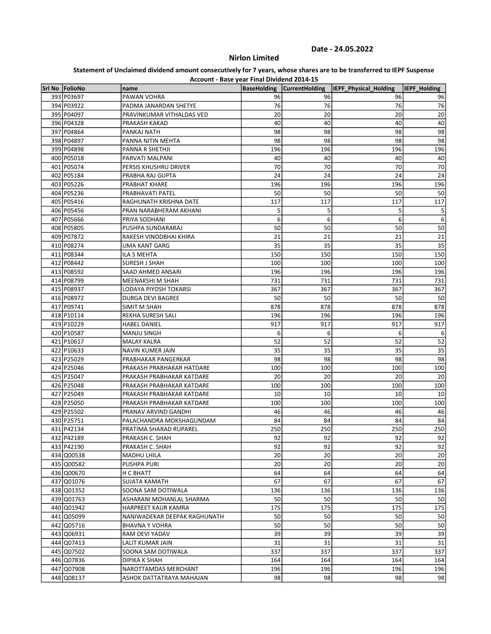# Nirlon Limited

| Account - Base year Final Dividend 2014-15 |                              |                    |                       |                       |              |  |
|--------------------------------------------|------------------------------|--------------------|-----------------------|-----------------------|--------------|--|
| Srl No FolioNo                             | name                         | <b>BaseHolding</b> | <b>CurrentHolding</b> | IEPF_Physical_Holding | IEPF Holding |  |
| 393 P03697                                 | PAWAN VOHRA                  | 96                 | 96                    | 96                    | 96           |  |
| 394 P03922                                 | PADMA JANARDAN SHETYE        | 76                 | 76                    | 76                    | 76           |  |
| 395 P04097                                 | PRAVINKUMAR VITHALDAS VED    | 20                 | 20                    | 20                    | 20           |  |
| 396 P04328                                 | PRAKASH KAKAD                | 40                 | 40                    | 40                    | 40           |  |
| 397 P04864                                 | PANKAJ NATH                  | 98                 | 98                    | 98                    | 98           |  |
| 398 P04897                                 | PANNA NITIN MEHTA            | 98                 | 98                    | 98                    | 98           |  |
| 399 P04898                                 | PANNA R SHETHJI              | 196                | 196                   | 196                   | 196          |  |
| 400 P05018                                 | PARVATI MALPANI              | 40                 | 40                    | 40                    | 40           |  |
| 401 P05074                                 | PERSIS KHUSHRU DRIVER        | 70                 | 70                    | 70                    | 70           |  |
| 402 P05184                                 | PRABHA RAJ GUPTA             | 24                 | 24                    | 24                    | 24           |  |
| 403 P05226                                 | PRABHAT KHARE                | 196                | 196                   | 196                   | 196          |  |
| 404 P05236                                 | PRABHAVATI PATEL             | 50                 | 50                    | 50                    | 50           |  |
| 405 P05416                                 | RAGHUNATH KRISHNA DATE       | 117                | 117                   | 117                   | 117          |  |
| 406 P05456                                 | PRAN NARABHERAM AKHANI       | 5                  | 5                     | 5                     | 5            |  |
| 407 P05666                                 | PRIYA SODHANI                | 6                  | 6                     | 6                     | 6            |  |
| 408 P05805                                 | PUSHPA SUNDARARAJ            | 50                 | 50                    | 50                    | 50           |  |
| 409 P07872                                 | RAKESH VINODBHAI KHIRA       | 21                 | 21                    | 21                    | 21           |  |
| 410 P08274                                 | UMA KANT GARG                | 35                 | 35                    | 35                    | 35           |  |
| 411 P08344                                 | ILA S MEHTA                  | 150                | 150                   | 150                   | 150          |  |
| 412 P08442                                 | <b>SURESH J SHAH</b>         | 100                | 100                   | 100                   | 100          |  |
| 413 P08592                                 | SAAD AHMED ANSARI            | 196                | 196                   | 196                   | 196          |  |
| 414 P08799                                 | MEENAKSHI M SHAH             | 731                | 731                   | 731                   | 731          |  |
| 415 P08937                                 | LODAYA PIYOSH TOKARSI        | 367                | 367                   | 367                   | 367          |  |
| 416 P08972                                 | DURGA DEVI BAGREE            | 50                 | 50                    | 50                    | 50           |  |
| 417 P09741                                 | <b>SIMIT M SHAH</b>          | 878                | 878                   | 878                   | 878          |  |
| 418 P10114                                 | REKHA SURESH SALI            | 196                | 196                   | 196                   | 196          |  |
| 419 P10229                                 | <b>HABEL DANIEL</b>          | 917                | 917                   | 917                   | 917          |  |
| 420 P10587                                 | <b>MANJU SINGH</b>           | 6                  | 6                     | 6                     | 6            |  |
| 421 P10617                                 | <b>MALAY KALRA</b>           | 52                 | 52                    | 52                    | 52           |  |
| 422 P10633                                 | NAVIN KUMER JAIN             | 35                 | 35                    | 35                    | 35           |  |
| 423 P25029                                 | PRABHAKAR PANGERKAR          | 98                 | 98                    | 98                    | 98           |  |
| 424 P25046                                 | PRAKASH PRABHAKAR HATDARE    | 100                | 100                   | 100                   | 100          |  |
| 425 P25047                                 | PRAKASH PRABHAKAR KATDARE    | 20                 | 20                    | 20                    | 20           |  |
| 426 P25048                                 | PRAKASH PRABHAKAR KATDARE    | 100                | 100                   | 100                   | 100          |  |
| 427 P25049                                 | PRAKASH PRABHAKAR KATDARE    | 10                 | 10                    | 10                    | 10           |  |
| 428 P25050                                 | PRAKASH PRABHAKAR KATDARE    | 100                | 100                   | 100                   | 100          |  |
| 429 P25502                                 | PRANAV ARVIND GANDHI         | 46                 | 46                    | 46                    | 46           |  |
| 430 P25751                                 | PALACHANDRA MOKSHAGUNDAM     | 84                 | 84                    | 84                    | 84           |  |
| 431 P42134                                 | PRATIMA SHARAD RUPAREL       | 250                | 250                   | 250                   | 250          |  |
| 432 P42189                                 | PRAKASH C. SHAH              | 92                 | 92                    | 92                    | 92           |  |
| 433 P42190                                 | PRAKASH C. SHAH              | 92                 | 92                    | 92                    | 92           |  |
| 434 Q00538                                 | MADHU LHILA                  | 20                 | 20                    | 20                    | 20           |  |
| 435 Q00582                                 | <b>PUSHPA PURI</b>           | 20                 | 20                    | 20                    | 20           |  |
| 436 Q00670                                 | H C BHATT                    | 64                 | 64                    | 64                    | 64           |  |
| 437 Q01076                                 | SUJATA KAMATH                | 67                 | 67                    | 67                    | 67           |  |
| 438 Q01352                                 | SOONA SAM DOTIWALA           | 136                | 136                   | 136                   | 136          |  |
| 439 Q01763                                 | ASHARANI MOHANLAL SHARMA     | 50                 | 50                    | 50                    | 50           |  |
| 440 Q01942                                 | HARPREET KAUR KAMRA          | 175                | 175                   | 175                   | 175          |  |
| 441 Q05099                                 | NANIWADEKAR DEEPAK RAGHUNATH | 50                 | 50                    | 50                    | 50           |  |
| 442 Q05716                                 | <b>BHAVNA Y VOHRA</b>        | 50                 | 50                    | 50                    | 50           |  |
| 443 Q06931                                 | RAM DEVI YADAV               | 39                 | 39                    | 39                    | 39           |  |
| 444 Q07413                                 | LALIT KUMAR JAIN             | 31                 | 31                    | 31                    | 31           |  |
| 445 Q07502                                 | SOONA SAM DOTIWALA           | 337                | 337                   | 337                   | 337          |  |
| 446 Q07836                                 | DIPIKA K SHAH                | 164                | 164                   | 164                   | 164          |  |
| 447 Q07908                                 | NAROTTAMDAS MERCHANT         | 196                | 196                   | 196                   | 196          |  |
| 448 Q08137                                 | ASHOK DATTATRAYA MAHAJAN     | 98                 | 98                    | 98                    | 98           |  |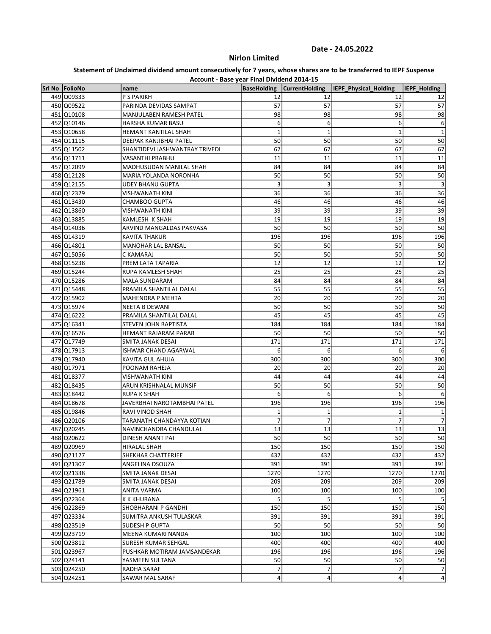# Nirlon Limited

| Account - Base year Final Dividend 2014-15 |  |  |  |  |  |
|--------------------------------------------|--|--|--|--|--|
|--------------------------------------------|--|--|--|--|--|

| Srl No FolioNo | name                           |                | BaseHolding   CurrentHolding | IEPF_Physical_Holding    | <b>IEPF Holding</b> |
|----------------|--------------------------------|----------------|------------------------------|--------------------------|---------------------|
| 449 Q09333     | P S PARIKH                     | 12             | 12                           | 12                       | 12                  |
| 450 Q09522     | PARINDA DEVIDAS SAMPAT         | 57             | 57                           | 57                       | 57                  |
| 451 Q10108     | MANJULABEN RAMESH PATEL        | 98             | 98                           | 98                       | 98                  |
| 452 Q10146     | HARSHA KUMAR BASU              | 6              | 6                            | 6                        | 6                   |
| 453 Q10658     | HEMANT KANTILAL SHAH           | $\mathbf 1$    | $\mathbf 1$                  | $\mathbf 1$              | $\mathbf 1$         |
| 454 Q11115     | DEEPAK KANJIBHAI PATEL         | 50             | 50                           | 50                       | 50                  |
| 455 Q11502     | SHANTIDEVI JASHWANTRAY TRIVEDI | 67             | 67                           | 67                       | 67                  |
| 456 Q11711     | VASANTHI PRABHU                | 11             | 11                           | 11                       | 11                  |
| 457 Q12099     | MADHUSUDAN MANILAL SHAH        | 84             | 84                           | 84                       | 84                  |
| 458 Q12128     | MARIA YOLANDA NORONHA          | 50             | 50                           | 50                       | 50                  |
| 459 Q12155     | <b>UDEY BHANU GUPTA</b>        | 3              | 3                            | 3                        | $\mathbf{3}$        |
| 460 Q12329     | VISHWANATH KINI                | 36             | 36                           | 36                       | 36                  |
| 461 Q13430     | CHAMBOO GUPTA                  | 46             | 46                           | 46                       | 46                  |
| 462 Q13860     | VISHWANATH KINI                | 39             | 39                           | 39                       | 39                  |
| 463 Q13885     | KAMLESH K SHAH                 | 19             | 19                           | 19                       | 19                  |
| 464 Q14036     | ARVIND MANGALDAS PAKVASA       | 50             | 50                           | 50                       | 50                  |
| 465 Q14319     | <b>KAVITA THAKUR</b>           | 196            | 196                          | 196                      | 196                 |
|                |                                |                |                              |                          |                     |
| 466 Q14801     | MANOHAR LAL BANSAL             | 50             | 50                           | 50                       | 50                  |
| 467 Q15056     | C KAMARAJ                      | 50             | 50                           | 50                       | 50                  |
| 468 Q15238     | PREM LATA TAPARIA              | 12             | 12                           | 12                       | 12                  |
| 469 Q15244     | RUPA KAMLESH SHAH              | 25             | 25                           | 25                       | 25                  |
| 470 Q15286     | MALA SUNDARAM                  | 84             | 84                           | 84                       | 84                  |
| 471 Q15448     | PRAMILA SHANTILAL DALAL        | 55             | 55                           | 55                       | 55                  |
| 472 Q15902     | MAHENDRA P MEHTA               | 20             | 20                           | 20                       | 20                  |
| 473 Q15974     | <b>NEETA B DEWANI</b>          | 50             | 50                           | 50                       | 50                  |
| 474 Q16222     | PRAMILA SHANTILAL DALAL        | 45             | 45                           | 45                       | 45                  |
| 475 Q16341     | STEVEN JOHN BAPTISTA           | 184            | 184                          | 184                      | 184                 |
| 476 Q16576     | HEMANT RAJARAM PARAB           | 50             | 50                           | 50                       | 50                  |
| 477 Q17749     | SMITA JANAK DESAI              | 171            | 171                          | 171                      | 171                 |
| 478 Q17913     | ISHWAR CHAND AGARWAL           | 6              | 6                            | 6                        | 6                   |
| 479 Q17940     | KAVITA GUL AHUJA               | 300            | 300                          | 300                      | 300                 |
| 480 Q17971     | POONAM RAHEJA                  | 20             | 20                           | 20                       | 20                  |
| 481 Q18377     | VISHWANATH KINI                | 44             | 44                           | 44                       | 44                  |
| 482 Q18435     | ARUN KRISHNALAL MUNSIF         | 50             | 50                           | 50                       | 50                  |
| 483 Q18442     | RUPA K SHAH                    | 6              | 6                            | 6                        | 6                   |
| 484 Q18678     | JAVERBHAI NAROTAMBHAI PATEL    | 196            | 196                          | 196                      | 196                 |
| 485 Q19846     | RAVI VINOD SHAH                | 1              | $\mathbf{1}$                 | $\mathbf 1$              | 1                   |
| 486 Q20106     | TARANATH CHANDAYYA KOTIAN      | 7              | 7                            | 7                        | 7                   |
| 487 Q20245     | NAVINCHANDRA CHANDULAL         | 13             | 13                           | 13                       | 13                  |
| 488 Q20622     | DINESH ANANT PAI               | 50             | 50                           | 50                       | 50                  |
| 489 Q20969     | HIRALAL SHAH                   | 150            | 150                          | 150                      | 150                 |
| 490 Q21127     | SHEKHAR CHATTERJEE             | 432            | 432                          | 432                      | 432                 |
| 491 Q21307     | ANGELINA DSOUZA                | 391            | 391                          | 391                      | 391                 |
| 492 Q21338     | SMITA JANAK DESAI              | 1270           | 1270                         | 1270                     | 1270                |
| 493 Q21789     | SMITA JANAK DESAI              | 209            | 209                          | 209                      | 209                 |
| 494 Q21961     | ANITA VARMA                    | 100            | 100                          | 100                      | 100                 |
| 495 Q22364     | K K KHURANA                    | 5              | 5                            | 5                        | -5                  |
| 496 Q22869     | SHOBHARANI P GANDHI            | 150            | 150                          | 150                      | 150                 |
| 497 Q23334     | SUMITRA ANKUSH TULASKAR        | 391            | 391                          | 391                      | 391                 |
| 498 Q23519     | SUDESH P GUPTA                 | 50             | 50                           | 50                       | 50                  |
| 499 Q23719     | MEENA KUMARI NANDA             | 100            | 100                          | 100                      | 100                 |
| 500 Q23812     | SURESH KUMAR SEHGAL            | 400            | 400                          | 400                      | 400                 |
| 501 Q23967     | PUSHKAR MOTIRAM JAMSANDEKAR    | 196            | 196                          | 196                      | 196                 |
| 502 Q24141     | YASMEEN SULTANA                | 50             | 50                           | 50                       | 50                  |
| 503 Q24250     | RADHA SARAF                    | $\overline{7}$ | $\boldsymbol{7}$             | $\overline{\phantom{a}}$ | $\boldsymbol{7}$    |
| 504 Q24251     | SAWAR MAL SARAF                | 4              | 4                            | 4                        | $\vert 4 \vert$     |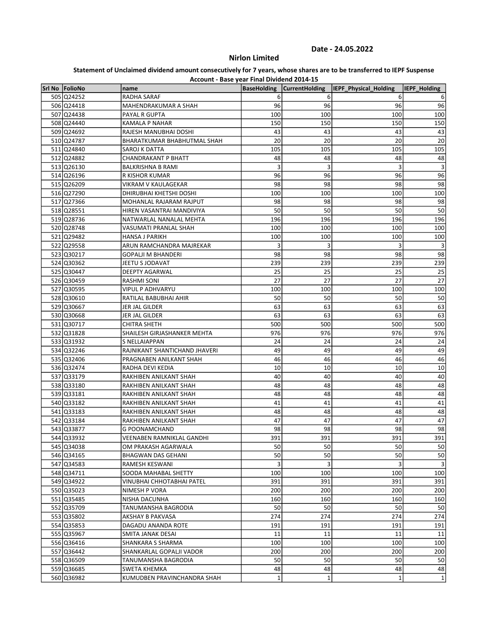# Nirlon Limited

| Account - Base year Final Dividend 2014-15 |                               |                    |                       |                       |              |  |
|--------------------------------------------|-------------------------------|--------------------|-----------------------|-----------------------|--------------|--|
| Srl No FolioNo                             | name                          | <b>BaseHolding</b> | <b>CurrentHolding</b> | IEPF_Physical_Holding | IEPF_Holding |  |
| 505 Q24252                                 | RADHA SARAF                   | 6                  | 6                     | 6                     | 6            |  |
| 506 Q24418                                 | MAHENDRAKUMAR A SHAH          | 96                 | 96                    | 96                    | 96           |  |
| 507 Q24438                                 | PAYAL R GUPTA                 | 100                | 100                   | 100                   | 100          |  |
| 508 Q24440                                 | KAMALA P NAHAR                | 150                | 150                   | 150                   | 150          |  |
| 509 Q24692                                 | RAJESH MANUBHAI DOSHI         | 43                 | 43                    | 43                    | 43           |  |
| 510 Q24787                                 | BHARATKUMAR BHABHUTMAL SHAH   | 20                 | 20                    | 20                    | 20           |  |
| 511 Q24840                                 | SAROJ K DATTA                 | 105                | 105                   | 105                   | 105          |  |
| 512 Q24882                                 | <b>CHANDRAKANT P BHATT</b>    | 48                 | 48                    | 48                    | 48           |  |
| 513 Q26130                                 | <b>BALKRISHNA B RAMI</b>      | 3                  | 3                     | 3                     | 3            |  |
| 514 Q26196                                 | R KISHOR KUMAR                | 96                 | 96                    | 96                    | 96           |  |
| 515 Q26209                                 | VIKRAM V KAULAGEKAR           | 98                 | 98                    | 98                    | 98           |  |
| 516 Q27290                                 | DHIRUBHAI KHETSHI DOSHI       | 100                | 100                   | 100                   | 100          |  |
| 517 Q27366                                 | MOHANLAL RAJARAM RAJPUT       | 98                 | 98                    | 98                    | 98           |  |
| 518 Q28551                                 | HIREN VASANTRAI MANDIVIYA     | 50                 | 50                    | 50                    | 50           |  |
| 519 Q28736                                 | NATWARLAL NANALAL MEHTA       | 196                | 196                   | 196                   | 196          |  |
| 520 Q28748                                 | VASUMATI PRANLAL SHAH         | 100                | 100                   | 100                   | 100          |  |
| 521 Q29482                                 | HANSA J PARIKH                | 100                | 100                   | 100                   | 100          |  |
| 522 Q29558                                 | ARUN RAMCHANDRA MAJREKAR      | 3                  | 3                     | 3                     | 3            |  |
| 523 Q30217                                 | <b>GOPALJI M BHANDERI</b>     | 98                 | 98                    | 98                    | 98           |  |
| 524 Q30362                                 | JEETU S JODAVAT               | 239                | 239                   | 239                   | 239          |  |
| 525 Q30447                                 | DEEPTY AGARWAL                | 25                 | 25                    | 25                    | 25           |  |
| 526 Q30459                                 | RASHMI SONI                   | 27                 | 27                    | 27                    | 27           |  |
| 527 Q30595                                 | <b>VIPUL P ADHVARYU</b>       | 100                | 100                   | 100                   | 100          |  |
| 528 Q30610                                 | RATILAL BABUBHAI AHIR         | 50                 | 50                    | 50                    | 50           |  |
| 529 Q30667                                 | JER JAL GILDER                | 63                 | 63                    | 63                    | 63           |  |
| 530 Q30668                                 | JER JAL GILDER                | 63                 | 63                    | 63                    | 63           |  |
| 531 Q30717                                 | <b>CHITRA SHETH</b>           | 500                | 500                   | 500                   | 500          |  |
| 532 Q31828                                 | SHAILESH GIRJASHANKER MEHTA   | 976                | 976                   | 976                   | 976          |  |
| 533 Q31932                                 | S NELLAIAPPAN                 | 24                 | 24                    | 24                    | 24           |  |
| 534 Q32246                                 | RAJNIKANT SHANTICHAND JHAVERI | 49                 | 49                    | 49                    | 49           |  |
| 535 Q32406                                 | PRAGNABEN ANILKANT SHAH       | 46                 | 46                    | 46                    | 46           |  |
| 536 Q32474                                 | RADHA DEVI KEDIA              | 10                 | 10                    | 10                    | 10           |  |
| 537 Q33179                                 | RAKHIBEN ANILKANT SHAH        | 40                 | 40                    | 40                    | 40           |  |
| 538 Q33180                                 | RAKHIBEN ANILKANT SHAH        | 48                 | 48                    | 48                    | 48           |  |
| 539 Q33181                                 | RAKHIBEN ANILKANT SHAH        | 48                 | 48                    | 48                    | 48           |  |
| 540 Q33182                                 | RAKHIBEN ANILKANT SHAH        | 41                 | 41                    | 41                    | 41           |  |
| 541 Q33183                                 | RAKHIBEN ANILKANT SHAH        | 48                 | 48                    | 48                    | 48           |  |
| 542 Q33184                                 | RAKHIBEN ANILKANT SHAH        | 47                 | 47                    | 47                    | 47           |  |
| 543 Q33877                                 | G POONAMCHAND                 | 98                 | 98                    | 98                    | 98           |  |
| 544 Q33932                                 | VEENABEN RAMNIKLAL GANDHI     | 391                | 391                   | 391                   | 391          |  |
| 545 Q34038                                 | OM PRAKASH AGARWALA           | 50                 | 50                    | 50                    | 50           |  |
| 546 Q34165                                 | <b>BHAGWAN DAS GEHANI</b>     | 50                 | 50                    | 50                    | 50           |  |
| 547 Q34583                                 | RAMESH KESWANI                | 3                  | 3                     | 3                     | $\mathbf{3}$ |  |
| 548 Q34711                                 | SOODA MAHABAL SHETTY          | 100                | 100                   | 100                   | 100          |  |
| 549 Q34922                                 | VINUBHAI CHHOTABHAI PATEL     | 391                | 391                   | 391                   | 391          |  |
| 550 Q35023                                 | NIMESH P VORA                 | 200                | 200                   | 200                   | 200          |  |
| 551 Q35485                                 | NISHA DACUNHA                 | 160                | 160                   | 160                   | 160          |  |
| 552 Q35709                                 | TANUMANSHA BAGRODIA           | 50                 | 50                    | 50                    | 50           |  |
| 553 Q35802                                 | AKSHAY B PAKVASA              | 274                | 274                   | 274                   | 274          |  |
| 554 Q35853                                 | DAGADU ANANDA ROTE            | 191                | 191                   | 191                   | 191          |  |
| 555 Q35967                                 | SMITA JANAK DESAI             | 11                 | 11                    | 11                    | 11           |  |
| 556 Q36416                                 | SHANKARA S SHARMA             | 100                | 100                   | 100                   | 100          |  |
|                                            |                               | 200                | 200                   | 200                   | 200          |  |
| 557 Q36442                                 | SHANKARLAL GOPALJI VADOR      | 50                 |                       | 50                    |              |  |
| 558 Q36509                                 | TANUMANSHA BAGRODIA           | 48                 | 50<br>48              | 48                    | 50           |  |
| 559 Q36685                                 | SWETA KHEMKA                  |                    |                       |                       | 48           |  |
| 560 Q36982                                 | KUMUDBEN PRAVINCHANDRA SHAH   | 1                  | 1                     | $\mathbf{1}$          | 1            |  |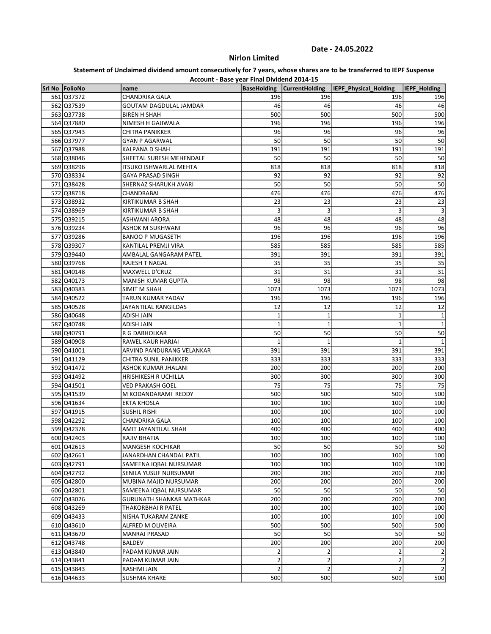# Nirlon Limited

|                | Account - Base year Final Dividend 2014-15 |                    |                       |                       |                |
|----------------|--------------------------------------------|--------------------|-----------------------|-----------------------|----------------|
| Srl No FolioNo | name                                       | <b>BaseHolding</b> | <b>CurrentHolding</b> | IEPF_Physical_Holding | IEPF Holding   |
| 561 Q37372     | <b>CHANDRIKA GALA</b>                      | 196                | 196                   | 196                   | 196            |
| 562 Q37539     | GOUTAM DAGDULAL JAMDAR                     | 46                 | 46                    | 46                    | 46             |
| 563 Q37738     | <b>BIREN H SHAH</b>                        | 500                | 500                   | 500                   | 500            |
| 564 Q37880     | NIMESH H GAJIWALA                          | 196                | 196                   | 196                   | 196            |
| 565 Q37943     | <b>CHITRA PANIKKER</b>                     | 96                 | 96                    | 96                    | 96             |
| 566 Q37977     | <b>GYAN P AGARWAL</b>                      | 50                 | 50                    | 50                    | 50             |
| 567 Q37988     | KALPANA D SHAH                             | 191                | 191                   | 191                   | 191            |
| 568 Q38046     | SHEETAL SURESH MEHENDALE                   | 50                 | 50                    | 50                    | 50             |
| 569 Q38296     | ITSUKO ISHWARLAL MEHTA                     | 818                | 818                   | 818                   | 818            |
| 570 Q38334     | <b>GAYA PRASAD SINGH</b>                   | 92                 | 92                    | 92                    | 92             |
| 571 Q38428     | SHERNAZ SHARUKH AVARI                      | 50                 | 50                    | 50                    | 50             |
| 572 Q38718     | CHANDRABAI                                 | 476                | 476                   | 476                   | 476            |
| 573 Q38932     | KIRTIKUMAR B SHAH                          | 23                 | 23                    | 23                    | 23             |
| 574 Q38969     | KIRTIKUMAR B SHAH                          | 3                  | 3                     | 3                     | 3              |
| 575 Q39215     | ASHWANI ARORA                              | 48                 | 48                    | 48                    | 48             |
| 576 Q39234     | ASHOK M SUKHWANI                           | 96                 | 96                    | 96                    | 96             |
| 577 Q39286     | <b>BANOO P MUGASETH</b>                    | 196                | 196                   | 196                   | 196            |
| 578 Q39307     | KANTILAL PREMJI VIRA                       | 585                | 585                   | 585                   | 585            |
| 579 Q39440     | AMBALAL GANGARAM PATEL                     | 391                | 391                   | 391                   | 391            |
| 580 Q39768     | <b>RAJESH T NAGAL</b>                      | 35                 | 35                    | 35                    | 35             |
| 581 Q40148     | MAXWELL D'CRUZ                             | 31                 | 31                    | 31                    | 31             |
| 582 Q40173     | <b>MANISH KUMAR GUPTA</b>                  | 98                 | 98                    | 98                    | 98             |
| 583 Q40383     | SIMIT M SHAH                               | 1073               | 1073                  | 1073                  | 1073           |
| 584 Q40522     | TARUN KUMAR YADAV                          | 196                | 196                   | 196                   | 196            |
| 585 Q40528     | JAYANTILAL RANGILDAS                       | 12                 | 12                    | 12                    | 12             |
| 586 Q40648     | ADISH JAIN                                 | 1                  | 1                     | $\mathbf{1}$          | $\mathbf 1$    |
| 587 Q40748     | <b>ADISH JAIN</b>                          | $\mathbf{1}$       | 1                     | $\mathbf 1$           | $\mathbf 1$    |
| 588 Q40791     | R G DABHOLKAR                              | 50                 | 50                    | 50                    | 50             |
| 589 Q40908     | RAWEL KAUR HARJAI                          | 1                  | 1                     | $\mathbf{1}$          | 1              |
| 590 Q41001     | ARVIND PANDURANG VELANKAR                  | 391                | 391                   | 391                   | 391            |
| 591 Q41129     | <b>CHITRA SUNIL PANIKKER</b>               | 333                | 333                   | 333                   | 333            |
| 592 Q41472     | ASHOK KUMAR JHALANI                        | 200                | 200                   | 200                   | 200            |
| 593 Q41492     | HRISHIKESH R UCHILLA                       | 300                | 300                   | 300                   | 300            |
| 594 Q41501     | <b>VED PRAKASH GOEL</b>                    | 75                 | 75                    | 75                    | 75             |
| 595 Q41539     | M KODANDARAMI REDDY                        | 500                | 500                   | 500                   | 500            |
| 596 Q41634     | <b>EKTA KHOSLA</b>                         | 100                | 100                   | 100                   | 100            |
| 597 Q41915     | <b>SUSHIL RISHI</b>                        | 100                | 100                   | 100                   | 100            |
| 598 Q42292     | <b>CHANDRIKA GALA</b>                      | 100                | 100                   | 100                   | 100            |
| 599 Q42378     | AMIT JAYANTILAL SHAH                       | 400                | 400                   | 400                   | 400            |
| 600 Q42403     | RAJIV BHATIA                               | 100                | 100                   | 100                   | 100            |
| 601 Q42613     | <b>MANGESH KOCHIKAR</b>                    | 50                 | 50                    | 50                    | 50             |
| 602 Q42661     | JANARDHAN CHANDAL PATIL                    | 100                | 100                   | 100                   | 100            |
| 603 Q42791     | SAMEENA IQBAL NURSUMAR                     | 100                | 100                   | 100                   | 100            |
| 604 Q42792     | SENILA YUSUF NURSUMAR                      | 200                | 200                   | 200                   | 200            |
| 605 Q42800     | MUBINA MAJID NURSUMAR                      | 200                | 200                   | 200                   | 200            |
| 606 Q42801     | SAMEENA IQBAL NURSUMAR                     | 50                 | 50                    | 50                    | 50             |
| 607 Q43026     | <b>GURUNATH SHANKAR MATHKAR</b>            | 200                | 200                   | 200                   | 200            |
| 608 Q43269     | THAKORBHAI R PATEL                         | 100                | 100                   | 100                   | 100            |
| 609 Q43433     | NISHA TUKARAM ZANKE                        | 100                | 100                   | 100                   | 100            |
| 610 Q43610     | ALFRED M OLIVEIRA                          | 500                | 500                   | 500                   | 500            |
| 611 Q43670     | <b>MANRAJ PRASAD</b>                       | 50                 | 50                    | 50                    | 50             |
| 612 Q43748     | <b>BALDEV</b>                              | 200                | 200                   | 200                   | 200            |
| 613 Q43840     | PADAM KUMAR JAIN                           | 2                  | 2                     | $\overline{2}$        | $\overline{2}$ |
| 614 Q43841     | PADAM KUMAR JAIN                           | $\overline{2}$     | 2                     | $\overline{2}$        | $\mathbf{2}$   |
| 615 Q43843     | RASHMI JAIN                                | $\overline{2}$     | $\overline{2}$        | $\overline{2}$        | $\overline{2}$ |
| 616 Q44633     | <b>SUSHMA KHARE</b>                        | 500                | 500                   | 500                   | 500            |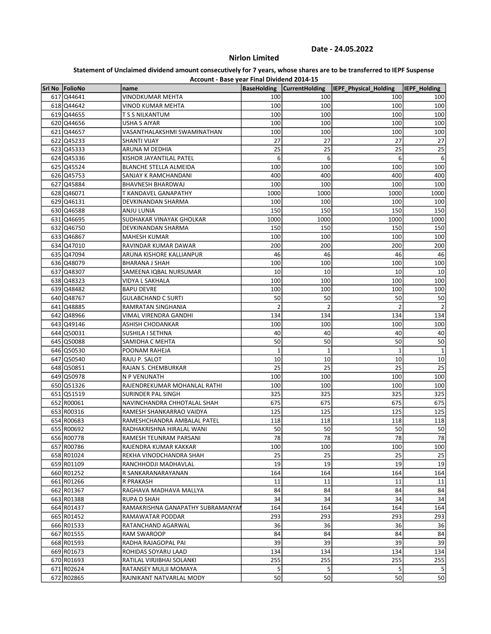# Nirlon Limited

|                | Account - Base year Final Dividend 2014-15 |                    |                       |                       |                     |
|----------------|--------------------------------------------|--------------------|-----------------------|-----------------------|---------------------|
| Srl No FolioNo | name                                       | <b>BaseHolding</b> | <b>CurrentHolding</b> | IEPF Physical Holding | <b>IEPF Holding</b> |
| 617 Q44641     | VINODKUMAR MEHTA                           | 100                | 100                   | 100                   | 100                 |
| 618 Q44642     | VINOD KUMAR MEHTA                          | 100                | 100                   | 100                   | 100                 |
| 619 Q44655     | T S S NILKANTUM                            | 100                | 100                   | 100                   | 100                 |
| 620 Q44656     | USHA S AIYAR                               | 100                | 100                   | 100                   | 100                 |
| 621 Q44657     | VASANTHALAKSHMI SWAMINATHAN                | 100                | 100                   | 100                   | 100                 |
| 622 Q45233     | <b>SHANTI VIJAY</b>                        | 27                 | 27                    | 27                    | 27                  |
| 623 Q45333     | ARUNA M DEDHIA                             | 25                 | 25                    | 25                    | 25                  |
| 624 Q45336     | KISHOR JAYANTILAL PATEL                    | 6                  | 6                     | 6                     | 6                   |
| 625 Q45524     | <b>BLANCHE STELLA ALMEIDA</b>              | 100                | 100                   | 100                   | 100                 |
| 626 Q45753     | SANJAY K RAMCHANDANI                       | 400                | 400                   | 400                   | 400                 |
| 627 Q45884     | <b>BHAVNESH BHARDWAJ</b>                   | 100                | 100                   | 100                   | 100                 |
| 628 Q46071     | <b>T KANDAVEL GANAPATHY</b>                | 1000               | 1000                  | 1000                  | 1000                |
| 629 Q46131     | DEVKINANDAN SHARMA                         | 100                | 100                   | 100                   | 100                 |
| 630 Q46588     | ANJU LUNIA                                 | 150                | 150                   | 150                   | 150                 |
| 631 Q46695     | SUDHAKAR VINAYAK GHOLKAR                   | 1000               | 1000                  | 1000                  | 1000                |
| 632 Q46750     | DEVKINANDAN SHARMA                         | 150                | 150                   | 150                   | 150                 |
| 633 Q46867     | <b>MAHESH KUMAR</b>                        | 100                | 100                   | 100                   | 100                 |
| 634 Q47010     | RAVINDAR KUMAR DAWAR                       | 200                | 200                   | 200                   | 200                 |
| 635 Q47094     | ARUNA KISHORE KALLIANPUR                   | 46                 | 46                    | 46                    | 46                  |
| 636 Q48079     | <b>BHARANA J SHAH</b>                      | 100                | 100                   | 100                   | 100                 |
| 637 Q48307     | SAMEENA IQBAL NURSUMAR                     | 10                 | 10                    | 10                    | 10                  |
| 638 Q48323     | VIDYA L SAKHALA                            | 100                | 100                   | 100                   | 100                 |
| 639 Q48482     | <b>BAPU DEVRE</b>                          | 100                | 100                   | 100                   | 100                 |
| 640 Q48767     | <b>GULABCHAND C SURTI</b>                  | 50                 | 50                    | 50                    | 50                  |
| 641 Q48885     | RAMRATAN SINGHANIA                         | $\overline{2}$     | $\overline{2}$        | $\overline{2}$        | $\overline{2}$      |
| 642 Q48966     | VIMAL VIRENDRA GANDHI                      | 134                | 134                   | 134                   | 134                 |
| 643 Q49146     | ASHISH CHODANKAR                           | 100                | 100                   | 100                   | 100                 |
| 644 Q50031     | SUSHILA I SETHNA                           | 40                 | 40                    | 40                    | 40                  |
| 645 Q50088     | SAMIDHA C MEHTA                            | 50                 | 50                    | 50                    | 50                  |
| 646 Q50530     | POONAM RAHEJA                              | $\mathbf{1}$       | $\mathbf{1}$          | $\mathbf{1}$          | $\mathbf 1$         |
| 647 Q50540     | RAJU P. SALOT                              | 10                 | 10                    | 10                    | 10                  |
| 648 Q50851     | RAJAN S. CHEMBURKAR                        | 25                 | 25                    | 25                    | 25                  |
| 649 Q50978     | N P VENUNATH                               | 100                | 100                   | 100                   | 100                 |
| 650 Q51326     | RAJENDREKUMAR MOHANLAL RATHI               | 100                | 100                   | 100                   | 100                 |
| 651 Q51519     | SURINDER PAL SINGH                         | 325                | 325                   | 325                   | 325                 |
| 652 R00061     | NAVINCHANDRA CHHOTALAL SHAH                | 675                | 675                   | 675                   | 675                 |
| 653 R00316     | RAMESH SHANKARRAO VAIDYA                   | 125                | 125                   | 125                   | 125                 |
| 654 R00683     | RAMESHCHANDRA AMBALAL PATEL                | 118                | 118                   | 118                   | 118                 |
| 655 R00692     | RADHAKRISHNA HIRALAL WANI                  | 50                 | 50                    | 50                    | 50                  |
| 656 R00778     | RAMESH TEUNRAM PARSANI                     | 78                 | 78                    | 78                    | 78                  |
| 657 R00786     | RAJENDRA KUMAR KAKKAR                      | 100                | 100                   | 100                   | 100                 |
| 658 R01024     | REKHA VINODCHANDRA SHAH                    | 25                 | 25                    | 25                    | 25                  |
| 659 R01109     | RANCHHODJI MADHAVLAL                       | 19                 | 19                    | 19                    | 19                  |
| 660 R01252     | R SANKARANARAYANAN                         | 164                | 164                   | 164                   | 164                 |
| 661 R01266     | R PRAKASH                                  | 11                 | 11                    | 11                    | 11                  |
| 662 R01367     | RAGHAVA MADHAVA MALLYA                     | 84                 | 84                    | 84                    | 84                  |
| 663 R01388     | RUPA D SHAH                                | 34                 | 34                    | 34                    | 34                  |
| 664 R01437     | RAMAKRISHNA GANAPATHY SUBRAMANYAI          | 164                | 164                   | 164                   | 164                 |
| 665 R01452     | RAMAWATAR PODDAR                           | 293                | 293                   | 293                   | 293                 |
| 666 R01533     | RATANCHAND AGARWAL                         | 36                 | 36                    | 36                    | 36                  |
| 667 R01555     | RAM SWAROOP                                | 84                 | 84                    | 84                    | 84                  |
| 668 R01593     | RADHA RAJAGOPAL PAI                        | 39                 | 39                    | 39                    | 39                  |
| 669 R01673     | ROHIDAS SOYARU LAAD                        | 134                | 134                   | 134                   | 134                 |
| 670 R01693     | RATILAL VIRJIBHAI SOLANKI                  | 255                | 255                   | 255                   | 255                 |
| 671 R02624     | RATANSEY MULJI MOMAYA                      | 5                  | 5                     | 5                     | $\vert$             |
| 672 R02865     | RAJNIKANT NATVARLAL MODY                   | 50                 | 50                    | 50                    | 50                  |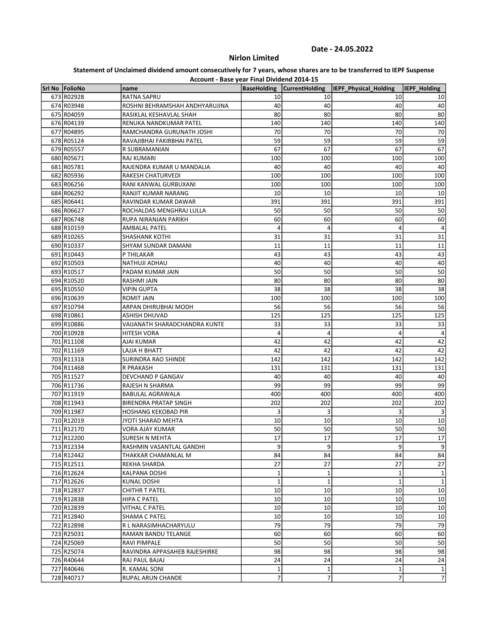# Nirlon Limited

|                          | Account - Base year Final Dividend 2014-15 |                    |                       |                       |                       |
|--------------------------|--------------------------------------------|--------------------|-----------------------|-----------------------|-----------------------|
| Srl No FolioNo           | name                                       | <b>BaseHolding</b> | <b>CurrentHolding</b> | IEPF_Physical_Holding | IEPF_Holding          |
| 673 R02928               | RATNA SAPRU                                | 10                 | 10                    | 10                    | 10                    |
| 674 R03948               | ROSHNI BEHRAMSHAH ANDHYARUJINA             | 40                 | 40                    | 40                    | 40                    |
| 675 R04059               | RASIKLAL KESHAVLAL SHAH                    | 80                 | 80                    | 80                    | 80                    |
| 676 R04139               | RENUKA NANDKUMAR PATEL                     | 140                | 140                   | 140                   | 140                   |
| 677 R04895               | RAMCHANDRA GURUNATH JOSHI                  | 70                 | 70                    | 70                    | 70                    |
| 678 R05124               | RAVAJIBHAI FAKIRBHAI PATEL                 | 59                 | 59                    | 59                    | 59                    |
| 679 R05557               | R SUBRAMANIAN                              | 67                 | 67                    | 67                    | 67                    |
| 680 R05671               | <b>RAJ KUMARI</b>                          | 100                | 100                   | 100                   | 100                   |
| 681 R05781               | RAJENDRA KUMAR U MANDALIA                  | 40                 | 40                    | 40                    | 40                    |
| 682 R05936               | RAKESH CHATURVEDI                          | 100                | 100                   | 100                   | 100                   |
| 683 R06256               | RANI KANWAL GURBUXANI                      | 100                | 100                   | 100                   | 100                   |
| 684 R06292               | RANJIT KUMAR NARANG                        | 10                 | 10                    | 10                    | 10                    |
| 685 R06441               | RAVINDAR KUMAR DAWAR                       | 391                | 391                   | 391                   | 391                   |
| 686 R06627               | ROCHALDAS MENGHRAJ LULLA                   | 50                 | 50                    | 50                    | 50                    |
| 687 R06748               | RUPA NIRANJAN PARIKH                       | 60                 | 60                    | 60                    | 60                    |
| 688 R10159               | <b>AMBALAL PATEL</b>                       | 4                  | 4                     | 4                     | 4                     |
| 689 R10265               | <b>SHASHANK KOTHI</b>                      | 31                 | 31                    | 31                    | 31                    |
| 690 R10337               | SHYAM SUNDAR DAMANI                        | 11                 | 11                    | 11                    | 11                    |
| 691 R10443               | P THILAKAR                                 | 43                 | 43                    | 43                    | 43                    |
| 692 R10503               | NATHUJI ADHAU                              | 40                 | 40                    | 40                    | 40                    |
| 693 R10517               | PADAM KUMAR JAIN                           | 50                 | 50                    | 50                    | 50                    |
| 694 R10520               | RASHMI JAIN                                | 80                 | 80                    | 80                    | 80                    |
| 695 R10550               | VIPIN GUPTA                                | 38                 | 38                    | 38                    | 38                    |
| 696 R10639               | ROMIT JAIN                                 | 100                | 100                   | 100                   | 100                   |
| 697 R10794               | ARPAN DHIRUBHAI MODH                       | 56                 | 56                    | 56                    | 56                    |
| 698 R10861               | <b>ASHISH DHUVAD</b>                       | 125                | 125                   | 125                   | 125                   |
| 699 R10886               | VAIJANATH SHARADCHANDRA KUNTE              | 33                 | 33                    | 33                    | 33                    |
| 700 R10928               | HITESH VORA                                | 4                  | 4                     | 4                     | 4                     |
| 701 R11108               | AJAI KUMAR                                 | 42                 | 42                    | 42                    | 42                    |
| 702 R11169               | LAJJA H BHATT                              | 42                 | 42                    | 42                    | 42                    |
| 703 R11318               | SURINDRA RAO SHINDE                        | 142                | 142                   | 142                   | 142                   |
| 704 R11468               | R PRAKASH                                  | 131                | 131                   | 131                   | 131                   |
| 705 R11527               | DEVCHAND P GANGAV                          | 40                 | 40                    | 40                    | 40                    |
| 706 R11736               | RAJESH N SHARMA                            | 99                 | 99                    | 99                    | 99                    |
| 707 R11919               | BABULAL AGRAWALA                           | 400                | 400                   | 400                   | 400                   |
| 708 R11943               | <b>BIRENDRA PRATAP SINGH</b>               | 202                | 202                   | 202                   | 202                   |
| 709 R11987               | <b>HOSHANG KEKOBAD PIR</b>                 | 3                  | 3                     | 3                     | 3                     |
| 710 R12019               | JYOTI SHARAD MEHTA                         | 10                 | 10                    | 10                    | 10                    |
| 711 R12170               | VORA AJAY KUMAR                            | 50                 | 50                    | 50                    | 50                    |
|                          |                                            |                    |                       |                       |                       |
| 712 R12200<br>713 R12334 | SURESH N MEHTA<br>RASHMIN VASANTLAL GANDHI | 17<br>9            | 17<br>9               | 17<br>9               | 17<br>$\vert 9 \vert$ |
| 714 R12442               | THAKKAR CHAMANLAL M                        | 84                 | 84                    | 84                    | 84                    |
|                          |                                            |                    |                       | 27                    |                       |
| 715 R12511               | REKHA SHARDA                               | 27                 | 27                    |                       | 27                    |
| 716 R12624               | KALPANA DOSHI                              | 1                  | 1                     | $\mathbf 1$           | $\mathbf{1}$          |
| 717 R12626               | KUNAL DOSHI                                | 1                  | 1                     | $\mathbf 1$           | $\mathbf 1$           |
| 718 R12837               | CHITHR T PATEL                             | 10                 | 10                    | 10                    | 10                    |
| 719 R12838               | HIPA C PATEL                               | 10                 | 10                    | 10                    | 10                    |
| 720 R12839               | <b>VITHAL C PATEL</b>                      | 10                 | 10                    | 10                    | 10 <sup>1</sup>       |
| 721 R12840               | <b>SHAMA C PATEL</b>                       | 10                 | 10                    | 10                    | 10 <sup>1</sup>       |
| 722 R12898               | R L NARASIMHACHARYULU                      | 79                 | 79                    | 79                    | 79                    |
| 723 R25031               | RAMAN BANDU TELANGE                        | 60                 | 60                    | 60                    | 60                    |
| 724 R25069               | RAVI PIMPALE                               | 50                 | 50                    | 50                    | 50                    |
| 725 R25074               | RAVINDRA APPASAHEB RAJESHIRKE              | 98                 | 98                    | 98                    | 98                    |
| 726 R40644               | RAJ PAUL BAJAJ                             | 24                 | 24                    | 24                    | 24                    |
| 727 R40646               | R. KAMAL SONI                              | 1                  | 1                     | $\mathbf 1$           | $\mathbf{1}$          |
| 728 R40717               | RUPAL ARUN CHANDE                          | 7                  | 7                     | 7                     | 7                     |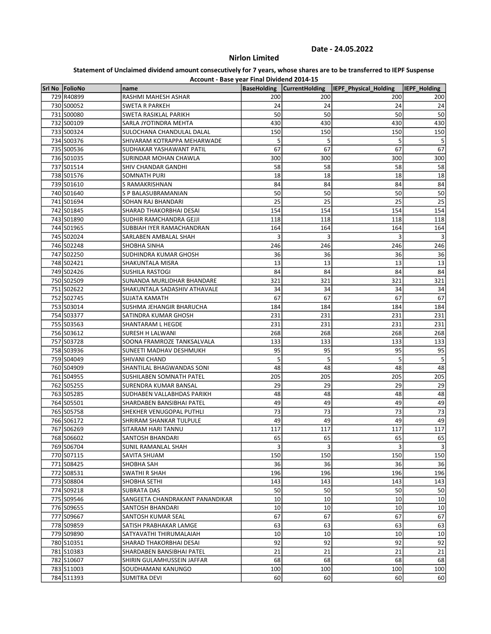# Nirlon Limited

|                | Account - Base year Final Dividend 2014-15 |                    |                       |                       |                |
|----------------|--------------------------------------------|--------------------|-----------------------|-----------------------|----------------|
| Srl No FolioNo | name                                       | <b>BaseHolding</b> | <b>CurrentHolding</b> | IEPF_Physical_Holding | IEPF Holding   |
| 729 R40899     | RASHMI MAHESH ASHAR                        | 200                | 200                   | 200                   | 200            |
| 730 S00052     | <b>SWETA R PARKEH</b>                      | 24                 | 24                    | 24                    | 24             |
| 731 S00080     | SWETA RASIKLAL PARIKH                      | 50                 | 50                    | 50                    | 50             |
| 732 S00109     | SARLA JYOTINDRA MEHTA                      | 430                | 430                   | 430                   | 430            |
| 733 S00324     | SULOCHANA CHANDULAL DALAL                  | 150                | 150                   | 150                   | 150            |
| 734 S00376     | SHIVARAM KOTRAPPA MEHARWADE                | 5                  | 5                     | 5                     | 5              |
| 735 S00536     | SUDHAKAR YASHAWANT PATIL                   | 67                 | 67                    | 67                    | 67             |
| 736 S01035     | SURINDAR MOHAN CHAWLA                      | 300                | 300                   | 300                   | 300            |
| 737 S01514     | SHIV CHANDAR GANDHI                        | 58                 | 58                    | 58                    | 58             |
| 738 S01576     | SOMNATH PURI                               | 18                 | 18                    | 18                    | 18             |
| 739 S01610     | S RAMAKRISHNAN                             | 84                 | 84                    | 84                    | 84             |
| 740 S01640     | <b>S P BALASUBRAMANIAN</b>                 | 50                 | 50                    | 50                    | 50             |
| 741 S01694     | SOHAN RAJ BHANDARI                         | 25                 | 25                    | 25                    | 25             |
| 742 S01845     | SHARAD THAKORBHAI DESAI                    | 154                | 154                   | 154                   | 154            |
| 743 S01890     | SUDHIR RAMCHANDRA GEJJI                    | 118                | 118                   | 118                   | 118            |
| 744 S01965     | SUBBIAH IYER RAMACHANDRAN                  | 164                | 164                   | 164                   | 164            |
| 745 S02024     | SARLABEN AMBALAL SHAH                      | 3                  | 3                     | 3                     | 3              |
| 746 S02248     | SHOBHA SINHA                               | 246                | 246                   | 246                   | 246            |
| 747 S02250     | SUDHINDRA KUMAR GHOSH                      | 36                 | 36                    | 36                    | 36             |
| 748 S02421     | SHAKUNTALA MISRA                           | 13                 | 13                    | 13                    | 13             |
| 749 S02426     | <b>SUSHILA RASTOGI</b>                     | 84                 | 84                    | 84                    | 84             |
| 750 S02509     | SUNANDA MURLIDHAR BHANDARE                 | 321                | 321                   | 321                   | 321            |
| 751 S02622     | SHAKUNTALA SADASHIV ATHAVALE               | 34                 | 34                    | 34                    | 34             |
| 752 S02745     | SUJATA KAMATH                              | 67                 | 67                    | 67                    | 67             |
| 753 S03014     | SUSHMA JEHANGIR BHARUCHA                   | 184                | 184                   | 184                   | 184            |
| 754 S03377     | SATINDRA KUMAR GHOSH                       | 231                | 231                   | 231                   | 231            |
| 755 S03563     | SHANTARAM L HEGDE                          | 231                | 231                   | 231                   | 231            |
| 756 S03612     | SURESH H LALWANI                           | 268                | 268                   | 268                   | 268            |
| 757 S03728     | SOONA FRAMROZE TANKSALVALA                 | 133                | 133                   | 133                   | 133            |
| 758 S03936     | SUNEETI MADHAV DESHMUKH                    | 95                 | 95                    | 95                    | 95             |
| 759 S04049     | SHIVANI CHAND                              | 5                  | 5                     | 5                     | 5              |
| 760 S04909     | SHANTILAL BHAGWANDAS SONI                  | 48                 | 48                    | 48                    | 48             |
| 761 S04955     | SUSHILABEN SOMNATH PATEL                   | 205                | 205                   | 205                   | 205            |
| 762 S05255     | SURENDRA KUMAR BANSAL                      | 29                 | 29                    | 29                    | 29             |
| 763 S05285     | SUDHABEN VALLABHDAS PARIKH                 | 48                 | 48                    | 48                    | 48             |
| 764 S05501     | SHARDABEN BANSIBHAI PATEL                  | 49                 | 49                    | 49                    | 49             |
| 765 S05758     | SHEKHER VENUGOPAL PUTHLI                   | 73                 | 73                    | 73                    | 73             |
| 766 S06172     | SHRIRAM SHANKAR TULPULE                    | 49                 | 49                    | 49                    | 49             |
| 767 S06269     | SITARAM HARI TANNU                         | 117                | 117                   | 117                   | 117            |
| 768 S06602     | SANTOSH BHANDARI                           | 65                 | 65                    | 65                    | 65             |
| 769 S06704     | SUNIL RAMANLAL SHAH                        | 3                  | 3                     | $\overline{3}$        | $\overline{3}$ |
| 770 S07115     | SAVITA SHUAM                               | 150                | 150                   | 150                   | 150            |
| 771 S08425     | SHOBHA SAH                                 | 36                 | 36                    | 36                    | 36             |
| 772 S08531     | <b>SWATHI R SHAH</b>                       | 196                | 196                   | 196                   | 196            |
| 773 S08804     | SHOBHA SETHI                               | 143                | 143                   | 143                   | 143            |
|                |                                            | 50                 | 50                    | 50                    |                |
| 774 S09218     | SUBRATA DAS                                |                    |                       | 10                    | 50<br>10       |
| 775 S09546     | SANGEETA CHANDRAKANT PANANDIKAR            | 10                 | 10                    |                       |                |
| 776 S09655     | SANTOSH BHANDARI                           | 10                 | 10                    | 10                    | 10             |
| 777 S09667     | SANTOSH KUMAR SEAL                         | 67                 | 67                    | 67                    | 67             |
| 778 S09859     | SATISH PRABHAKAR LAMGE                     | 63                 | 63                    | 63                    | 63             |
| 779 S09890     | SATYAVATHI THIRUMALAIAH                    | 10                 | 10                    | 10                    | 10             |
| 780 S10351     | SHARAD THAKORBHAI DESAI                    | 92                 | 92                    | 92                    | 92             |
| 781 S10383     | SHARDABEN BANSIBHAI PATEL                  | 21                 | 21                    | 21                    | 21             |
| 782 S10607     | SHIRIN GULAMHUSSEIN JAFFAR                 | 68                 | 68                    | 68                    | 68             |
| 783 S11003     | SOUDHAMANI KANUNGO                         | 100                | 100                   | 100                   | 100            |
| 784 S11393     | SUMITRA DEVI                               | 60                 | 60                    | 60                    | 60             |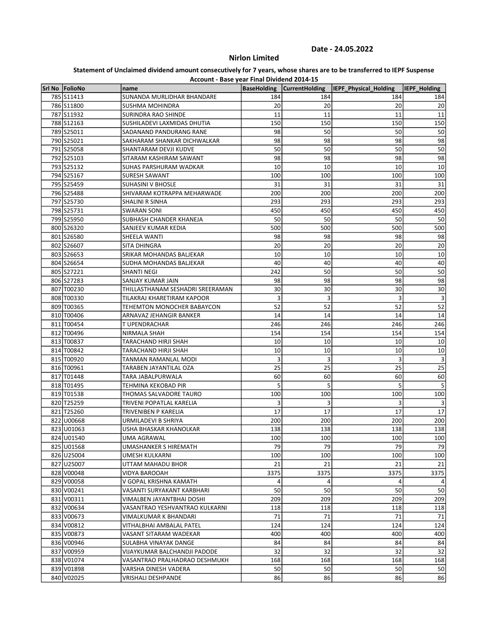# Nirlon Limited

|                | Account - Base year Final Dividend 2014-15 |                    |                       |                              |                     |
|----------------|--------------------------------------------|--------------------|-----------------------|------------------------------|---------------------|
| Srl No FolioNo | name                                       | <b>BaseHolding</b> | <b>CurrentHolding</b> | <b>IEPF Physical Holding</b> | <b>IEPF Holding</b> |
| 785 S11413     | SUNANDA MURLIDHAR BHANDARE                 | 184                | 184                   | 184                          | 184                 |
| 786 S11800     | SUSHMA MOHINDRA                            | 20                 | 20                    | 20                           | 20                  |
| 787 S11932     | <b>SURINDRA RAO SHINDE</b>                 | 11                 | 11                    | 11                           | 11                  |
| 788 S12163     | SUSHILADEVI LAXMIDAS DHUTIA                | 150                | 150                   | 150                          | 150                 |
| 789 S25011     | SADANAND PANDURANG RANE                    | 98                 | 50                    | 50                           | 50                  |
| 790 S25021     | SAKHARAM SHANKAR DICHWALKAR                | 98                 | 98                    | 98                           | 98                  |
| 791 S25058     | SHANTARAM DEVJI KUDVE                      | 50                 | 50                    | 50                           | 50                  |
| 792 S25103     | SITARAM KASHIRAM SAWANT                    | 98                 | 98                    | 98                           | 98                  |
| 793 S25132     | SUHAS PARSHURAM WADKAR                     | 10                 | 10                    | 10                           | 10                  |
| 794 S25167     | SURESH SAWANT                              | 100                | 100                   | 100                          | 100                 |
| 795 S25459     | <b>SUHASINI V BHOSLE</b>                   | 31                 | 31                    | 31                           | 31                  |
| 796 S25488     | SHIVARAM KOTRAPPA MEHARWADE                | 200                | 200                   | 200                          | 200                 |
| 797 S25730     | SHALINI R SINHA                            | 293                | 293                   | 293                          | 293                 |
| 798 S25731     | <b>SWARAN SONI</b>                         | 450                | 450                   | 450                          | 450                 |
| 799 S25950     | SUBHASH CHANDER KHANEJA                    | 50                 | 50                    | 50                           | 50                  |
| 800 S26320     | SANJEEV KUMAR KEDIA                        | 500                | 500                   | 500                          | 500                 |
| 801 S26580     | SHEELA WANTI                               | 98                 | 98                    | 98                           | 98                  |
| 802 S26607     | SITA DHINGRA                               | 20                 | 20                    | 20                           | 20                  |
| 803 S26653     | SRIKAR MOHANDAS BALJEKAR                   | 10                 | 10                    | 10                           | 10                  |
| 804 S26654     | SUDHA MOHANDAS BALJEKAR                    | 40                 | 40                    | 40                           | 40                  |
| 805 S27221     | <b>SHANTI NEGI</b>                         | 242                | 50                    | 50                           | 50                  |
| 806 S27283     | SANJAY KUMAR JAIN                          | 98                 | 98                    | 98                           | 98                  |
| 807 T00230     | THILLASTHANAM SESHADRI SREERAMAN           | 30                 | 30                    | 30                           | 30                  |
| 808 T00330     | TILAKRAJ KHARETIRAM KAPOOR                 | 3                  | 3                     | 3                            | 3                   |
| 809 T00365     | TEHEMTON MONOCHER BABAYCON                 | 52                 | 52                    | 52                           | 52                  |
| 810 T00406     | ARNAVAZ JEHANGIR BANKER                    | 14                 | 14                    | 14                           | 14                  |
| 811 T00454     | T UPENDRACHAR                              | 246                | 246                   | 246                          | 246                 |
| 812 T00496     | NIRMALA SHAH                               | 154                | 154                   | 154                          | 154                 |
| 813 T00837     | TARACHAND HIRJI SHAH                       | 10                 | 10                    | 10                           | 10                  |
| 814 T00842     | TARACHAND HIRJI SHAH                       | 10                 | 10                    | 10                           | 10                  |
| 815 T00920     | TANMAN RAMANLAL MODI                       | 3                  | 3                     | $\overline{3}$               | 3                   |
| 816 T00961     | TARABEN JAYANTILAL OZA                     | 25                 | 25                    | 25                           | 25                  |
| 817 T01448     | TARA JABALPURWALA                          | 60                 | 60                    | 60                           | 60                  |
| 818 T01495     | TEHMINA KEKOBAD PIR                        | 5                  | 5                     | 5                            | 5                   |
| 819 T01538     | THOMAS SALVADORE TAURO                     | 100                | 100                   | 100                          | 100                 |
| 820 T25259     | TRIVENI POPATLAL KARELIA                   | 3                  | 3                     | 3                            | 3                   |
| 821 T25260     | TRIVENIBEN P KARELIA                       | 17                 | 17                    | 17                           | 17                  |
| 822 U00668     | URMILADEVI B SHRIYA                        | 200                | 200                   | 200                          | 200                 |
| 823 U01063     | USHA BHASKAR KHANOLKAR                     | 138                | 138                   | 138                          | 138                 |
| 824 U01540     | UMA AGRAWAL                                | 100                | 100                   | 100                          | 100                 |
| 825 U01568     | UMASHANKER S HIREMATH                      | 79                 | 79                    | 79                           | 79                  |
| 826 U25004     | UMESH KULKARNI                             | 100                | 100                   | 100                          | 100                 |
| 827 U25007     | UTTAM MAHADU BHOR                          | 21                 | 21                    | 21                           | 21                  |
| 828 V00048     | VIDYA BAROOAH                              | 3375               | 3375                  | 3375                         | 3375                |
| 829 V00058     | V GOPAL KRISHNA KAMATH                     |                    | 4                     | 4                            | 4                   |
| 830 V00241     | VASANTI SURYAKANT KARBHARI                 | 50                 | 50                    | 50                           | 50                  |
| 831 V00311     | VIMALBEN JAYANTBHAI DOSHI                  | 209                | 209                   | 209                          | 209                 |
| 832 V00634     | VASANTRAO YESHVANTRAO KULKARNI             | 118                | 118                   | 118                          | 118                 |
| 833 V00673     | VIMALKUMAR K BHANDARI                      | 71                 | 71                    | 71                           | 71                  |
| 834 V00812     | VITHALBHAI AMBALAL PATEL                   | 124                | 124                   | 124                          | 124                 |
| 835 V00873     | VASANT SITARAM WADEKAR                     | 400                | 400                   | 400                          | 400                 |
| 836 V00946     | SULABHA VINAYAK DANGE                      | 84                 | 84                    | 84                           | 84                  |
| 837 V00959     | VIJAYKUMAR BALCHANDJI PADODE               | 32                 | 32                    | 32                           | 32                  |
| 838 V01074     | VASANTRAO PRALHADRAO DESHMUKH              | 168                | 168                   | 168                          | 168                 |
| 839 V01898     | VARSHA DINESH VADERA                       | 50                 | 50                    | 50                           | 50                  |
| 840 V02025     | VRISHALI DESHPANDE                         | 86                 | 86                    | 86                           | 86                  |
|                |                                            |                    |                       |                              |                     |